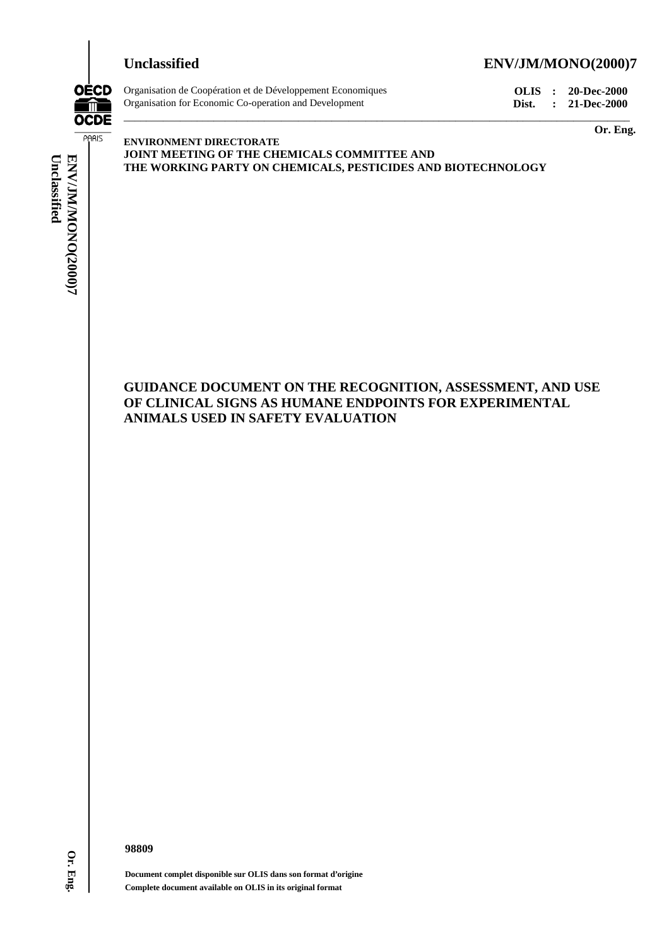

# **Unclassified ENV/JM/MONO(2000)7**



Organisation de Coopération et de Développement Economiques **OLIS : 20-Dec-2000** Organisation for Economic Co-operation and Development **Dist. : 21-Dec-2000**

**Or. Eng.**

ENV/JM/MONO(2000)7 **ENV/JM/MONO(2000)7**

**Unclassified**

Unclassified

#### **ENVIRONMENT DIRECTORATE JOINT MEETING OF THE CHEMICALS COMMITTEE AND THE WORKING PARTY ON CHEMICALS, PESTICIDES AND BIOTECHNOLOGY**

\_\_\_\_\_\_\_\_\_\_\_\_\_\_\_\_\_\_\_\_\_\_\_\_\_\_\_\_\_\_\_\_\_\_\_\_\_\_\_\_\_\_\_\_\_\_\_\_\_\_\_\_\_\_\_\_\_\_\_\_\_\_\_\_\_\_\_\_\_\_\_\_\_\_\_\_\_\_\_\_\_\_\_\_\_\_\_\_\_\_

# **GUIDANCE DOCUMENT ON THE RECOGNITION, ASSESSMENT, AND USE OF CLINICAL SIGNS AS HUMANE ENDPOINTS FOR EXPERIMENTAL ANIMALS USED IN SAFETY EVALUATION**

**98809**

**Document complet disponible sur OLIS dans son format d'origine Complete document available on OLIS in its original format**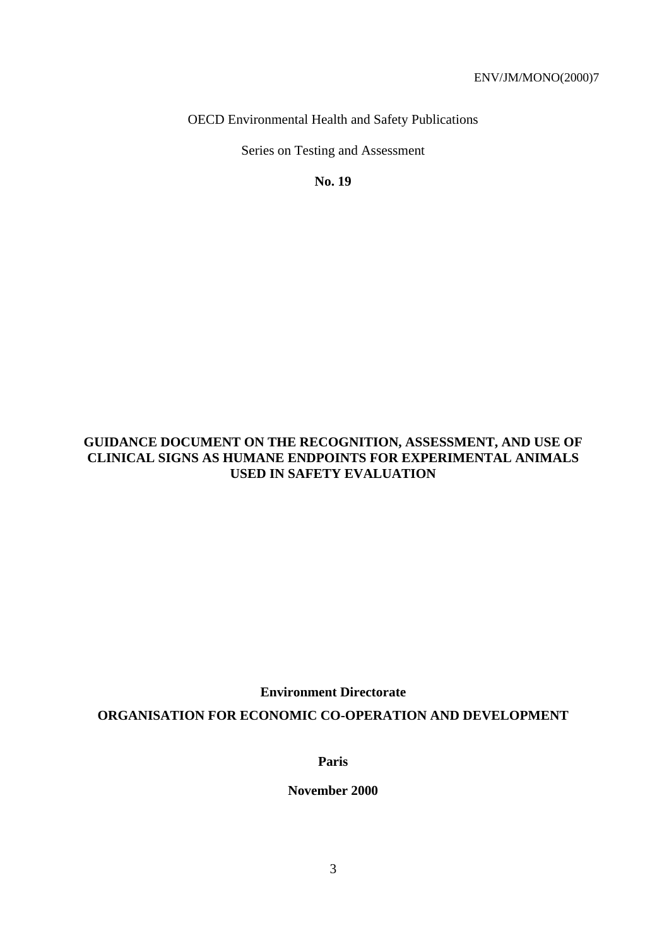OECD Environmental Health and Safety Publications

Series on Testing and Assessment

**No. 19**

# **GUIDANCE DOCUMENT ON THE RECOGNITION, ASSESSMENT, AND USE OF CLINICAL SIGNS AS HUMANE ENDPOINTS FOR EXPERIMENTAL ANIMALS USED IN SAFETY EVALUATION**

**Environment Directorate**

**ORGANISATION FOR ECONOMIC CO-OPERATION AND DEVELOPMENT**

**Paris**

**November 2000**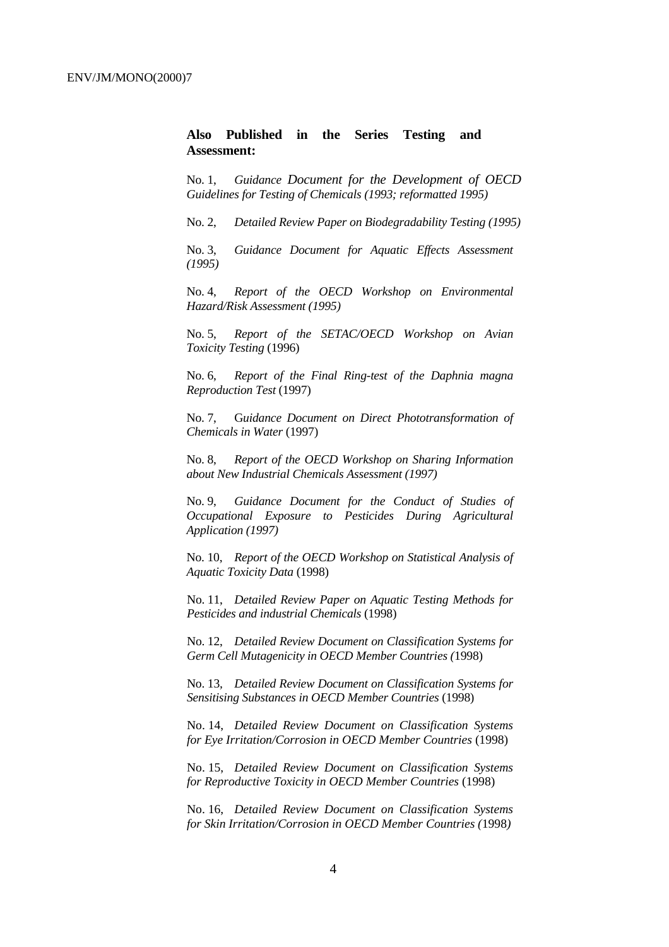## **Also Published in the Series Testing and Assessment:**

No. 1, *Guidance Document for the Development of OECD Guidelines for Testing of Chemicals (1993; reformatted 1995)*

No. 2, *Detailed Review Paper on Biodegradability Testing (1995)*

No. 3, *Guidance Document for Aquatic Effects Assessment (1995)*

No. 4, *Report of the OECD Workshop on Environmental Hazard/Risk Assessment (1995)*

No. 5, *Report of the SETAC/OECD Workshop on Avian Toxicity Testing* (1996)

No. 6, *Report of the Final Ring-test of the Daphnia magna Reproduction Test* (1997)

No. 7, G*uidance Document on Direct Phototransformation of Chemicals in Water* (1997)

No. 8, *Report of the OECD Workshop on Sharing Information about New Industrial Chemicals Assessment (1997)*

No. 9, *Guidance Document for the Conduct of Studies of Occupational Exposure to Pesticides During Agricultural Application (1997)*

No. 10, *Report of the OECD Workshop on Statistical Analysis of Aquatic Toxicity Data* (1998)

No. 11, *Detailed Review Paper on Aquatic Testing Methods for Pesticides and industrial Chemicals* (1998)

No. 12, *Detailed Review Document on Classification Systems for Germ Cell Mutagenicity in OECD Member Countries (*1998)

No. 13*, Detailed Review Document on Classification Systems for Sensitising Substances in OECD Member Countries* (1998)

No. 14, *Detailed Review Document on Classification Systems for Eye Irritation/Corrosion in OECD Member Countries* (1998)

No. 15, *Detailed Review Document on Classification Systems for Reproductive Toxicity in OECD Member Countries* (1998)

No. 16, *Detailed Review Document on Classification Systems for Skin Irritation/Corrosion in OECD Member Countries (*1998*)*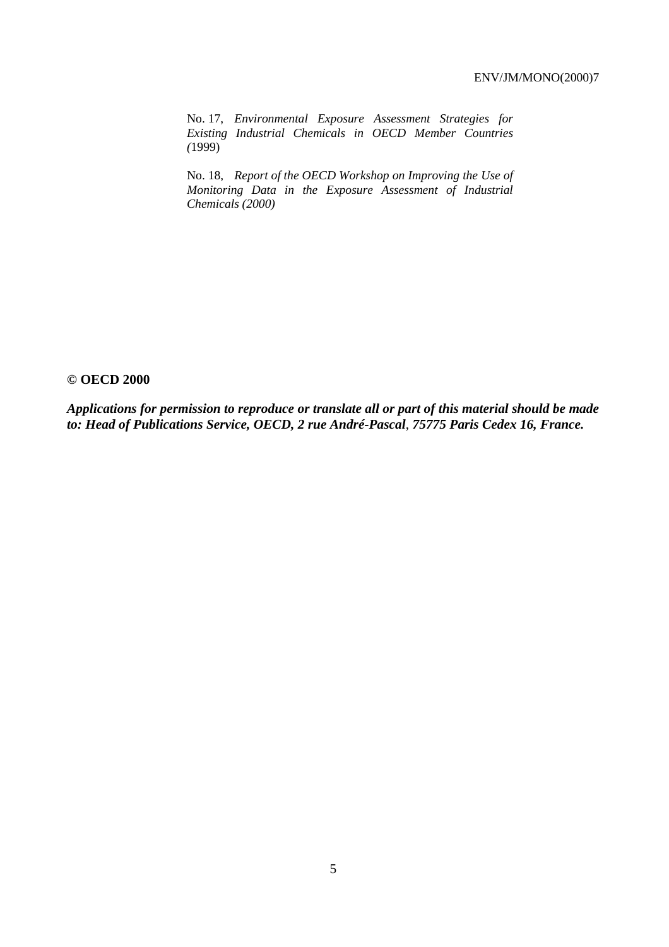No. 17, *Environmental Exposure Assessment Strategies for Existing Industrial Chemicals in OECD Member Countries (*1999)

No. 18, *Report of the OECD Workshop on Improving the Use of Monitoring Data in the Exposure Assessment of Industrial Chemicals (2000)*

## **© OECD 2000**

*Applications for permission to reproduce or translate all or part of this material should be made to: Head of Publications Service, OECD, 2 rue André-Pascal*, *75775 Paris Cedex 16, France.*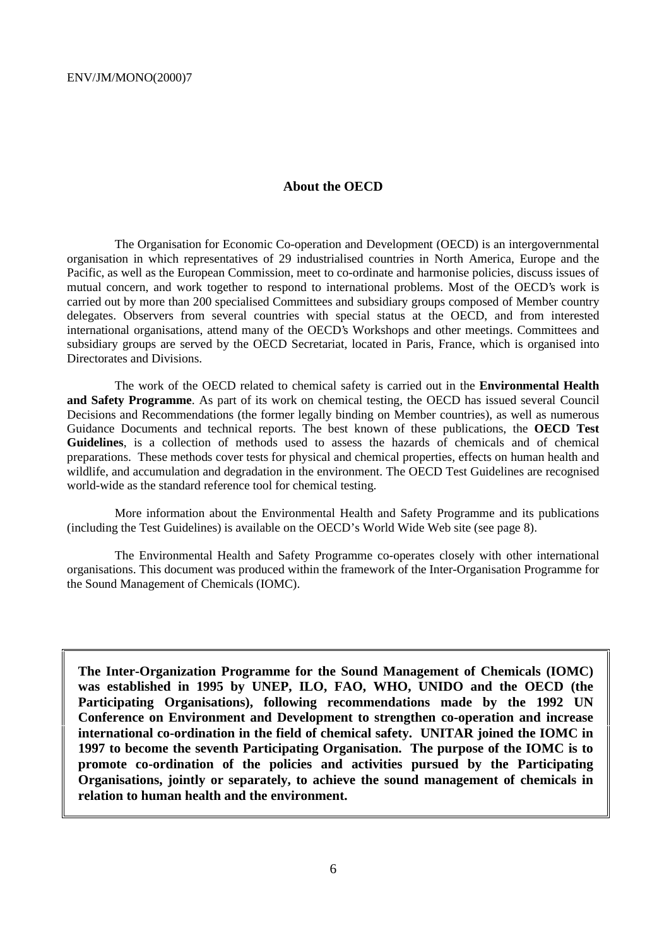## **About the OECD**

The Organisation for Economic Co-operation and Development (OECD) is an intergovernmental organisation in which representatives of 29 industrialised countries in North America, Europe and the Pacific, as well as the European Commission, meet to co-ordinate and harmonise policies, discuss issues of mutual concern, and work together to respond to international problems. Most of the OECD's work is carried out by more than 200 specialised Committees and subsidiary groups composed of Member country delegates. Observers from several countries with special status at the OECD, and from interested international organisations, attend many of the OECD's Workshops and other meetings. Committees and subsidiary groups are served by the OECD Secretariat, located in Paris, France, which is organised into Directorates and Divisions.

The work of the OECD related to chemical safety is carried out in the **Environmental Health and Safety Programme**. As part of its work on chemical testing, the OECD has issued several Council Decisions and Recommendations (the former legally binding on Member countries), as well as numerous Guidance Documents and technical reports. The best known of these publications, the **OECD Test Guidelines**, is a collection of methods used to assess the hazards of chemicals and of chemical preparations. These methods cover tests for physical and chemical properties, effects on human health and wildlife, and accumulation and degradation in the environment. The OECD Test Guidelines are recognised world-wide as the standard reference tool for chemical testing.

More information about the Environmental Health and Safety Programme and its publications (including the Test Guidelines) is available on the OECD's World Wide Web site (see page 8).

The Environmental Health and Safety Programme co-operates closely with other international organisations. This document was produced within the framework of the Inter-Organisation Programme for the Sound Management of Chemicals (IOMC).

**The Inter-Organization Programme for the Sound Management of Chemicals (IOMC) was established in 1995 by UNEP, ILO, FAO, WHO, UNIDO and the OECD (the Participating Organisations), following recommendations made by the 1992 UN Conference on Environment and Development to strengthen co-operation and increase international co-ordination in the field of chemical safety. UNITAR joined the IOMC in 1997 to become the seventh Participating Organisation. The purpose of the IOMC is to promote co-ordination of the policies and activities pursued by the Participating Organisations, jointly or separately, to achieve the sound management of chemicals in relation to human health and the environment.**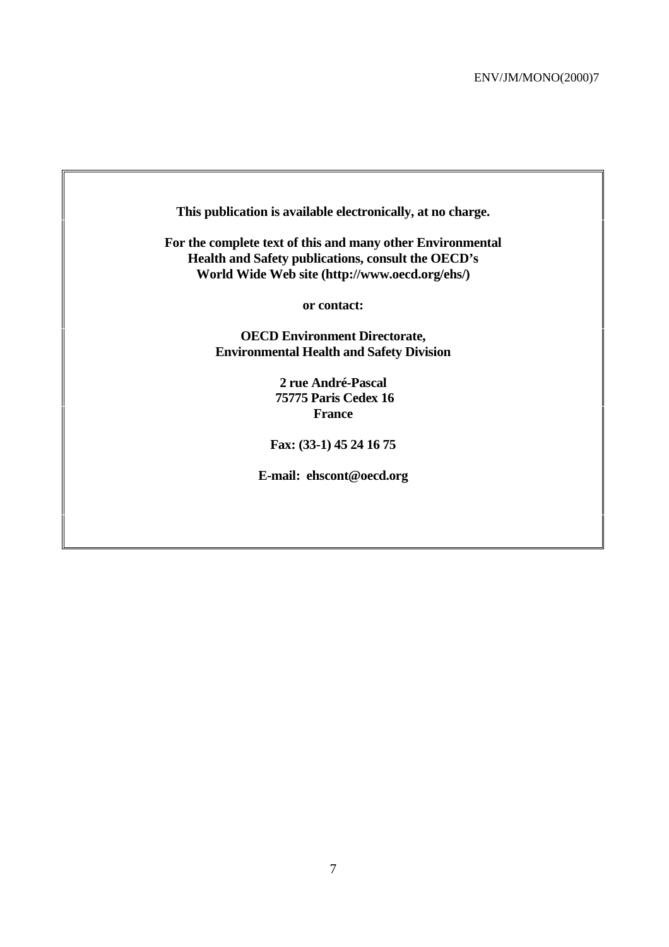| This publication is available electronically, at no charge.                                                                                                        |
|--------------------------------------------------------------------------------------------------------------------------------------------------------------------|
| For the complete text of this and many other Environmental<br>Health and Safety publications, consult the OECD's<br>World Wide Web site (http://www.oecd.org/ehs/) |
| or contact:                                                                                                                                                        |
| <b>OECD Environment Directorate,</b>                                                                                                                               |
| <b>Environmental Health and Safety Division</b>                                                                                                                    |
| 2 rue André-Pascal                                                                                                                                                 |
| 75775 Paris Cedex 16                                                                                                                                               |
| <b>France</b>                                                                                                                                                      |
| Fax: (33-1) 45 24 16 75                                                                                                                                            |
| E-mail: ehscont@oecd.org                                                                                                                                           |
|                                                                                                                                                                    |
|                                                                                                                                                                    |
|                                                                                                                                                                    |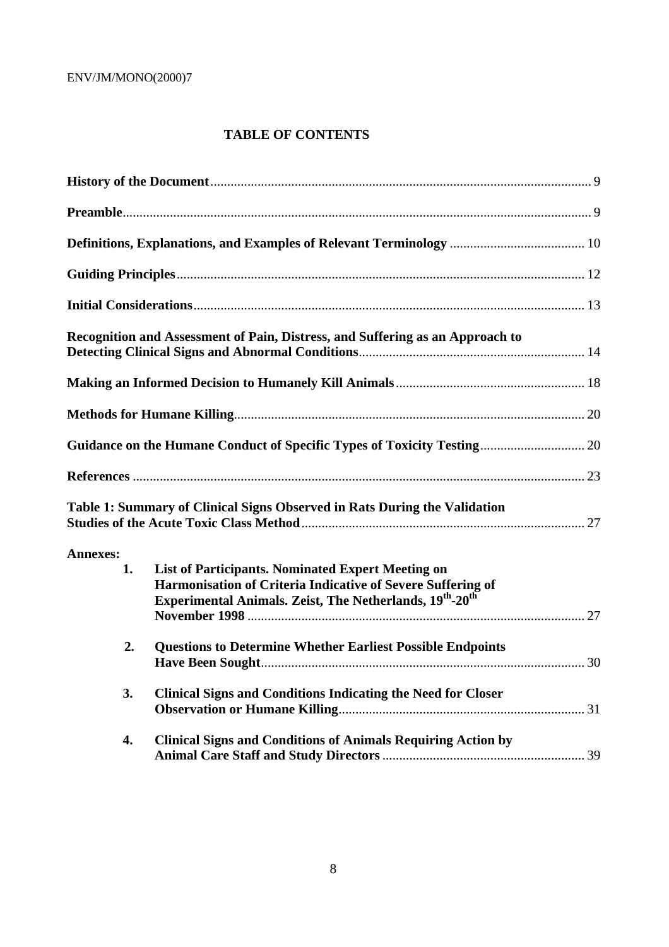# **TABLE OF CONTENTS**

|                       | Recognition and Assessment of Pain, Distress, and Suffering as an Approach to                                                                                                                               |  |
|-----------------------|-------------------------------------------------------------------------------------------------------------------------------------------------------------------------------------------------------------|--|
|                       |                                                                                                                                                                                                             |  |
|                       |                                                                                                                                                                                                             |  |
|                       |                                                                                                                                                                                                             |  |
|                       |                                                                                                                                                                                                             |  |
|                       | Table 1: Summary of Clinical Signs Observed in Rats During the Validation                                                                                                                                   |  |
| <b>Annexes:</b><br>1. | <b>List of Participants. Nominated Expert Meeting on</b><br>Harmonisation of Criteria Indicative of Severe Suffering of<br>Experimental Animals. Zeist, The Netherlands, 19 <sup>th</sup> -20 <sup>th</sup> |  |
| 2.                    | <b>Questions to Determine Whether Earliest Possible Endpoints</b>                                                                                                                                           |  |
| 3.                    | <b>Clinical Signs and Conditions Indicating the Need for Closer</b>                                                                                                                                         |  |
| 4.                    | <b>Clinical Signs and Conditions of Animals Requiring Action by</b>                                                                                                                                         |  |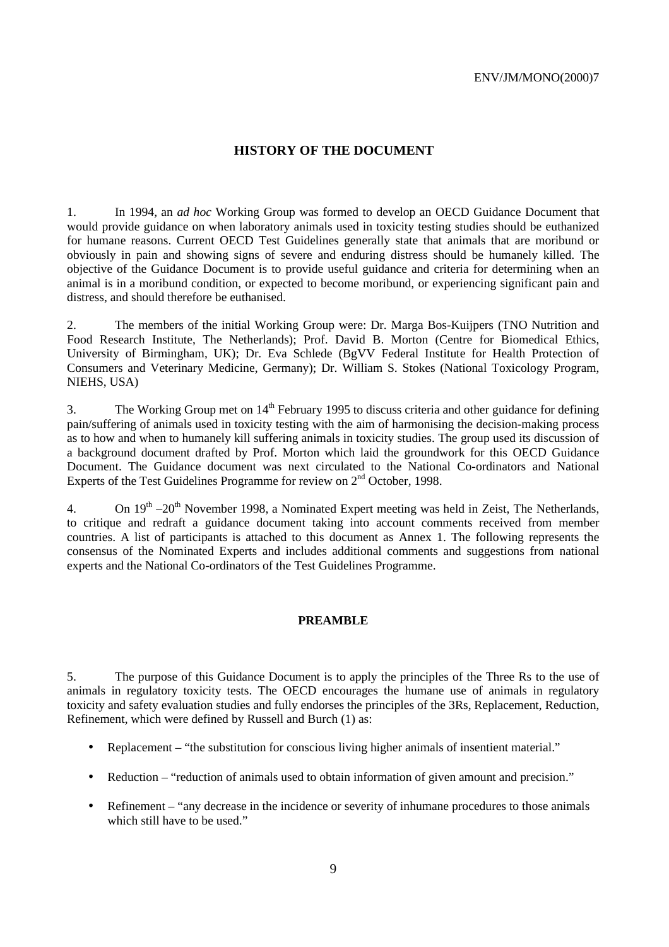## **HISTORY OF THE DOCUMENT**

1. In 1994, an *ad hoc* Working Group was formed to develop an OECD Guidance Document that would provide guidance on when laboratory animals used in toxicity testing studies should be euthanized for humane reasons. Current OECD Test Guidelines generally state that animals that are moribund or obviously in pain and showing signs of severe and enduring distress should be humanely killed. The objective of the Guidance Document is to provide useful guidance and criteria for determining when an animal is in a moribund condition, or expected to become moribund, or experiencing significant pain and distress, and should therefore be euthanised.

2. The members of the initial Working Group were: Dr. Marga Bos-Kuijpers (TNO Nutrition and Food Research Institute, The Netherlands); Prof. David B. Morton (Centre for Biomedical Ethics, University of Birmingham, UK); Dr. Eva Schlede (BgVV Federal Institute for Health Protection of Consumers and Veterinary Medicine, Germany); Dr. William S. Stokes (National Toxicology Program, NIEHS, USA)

3. The Working Group met on  $14<sup>th</sup>$  February 1995 to discuss criteria and other guidance for defining pain/suffering of animals used in toxicity testing with the aim of harmonising the decision-making process as to how and when to humanely kill suffering animals in toxicity studies. The group used its discussion of a background document drafted by Prof. Morton which laid the groundwork for this OECD Guidance Document. The Guidance document was next circulated to the National Co-ordinators and National Experts of the Test Guidelines Programme for review on  $2<sup>nd</sup>$  October, 1998.

4. On  $19<sup>th</sup> - 20<sup>th</sup>$  November 1998, a Nominated Expert meeting was held in Zeist, The Netherlands, to critique and redraft a guidance document taking into account comments received from member countries. A list of participants is attached to this document as Annex 1. The following represents the consensus of the Nominated Experts and includes additional comments and suggestions from national experts and the National Co-ordinators of the Test Guidelines Programme.

## **PREAMBLE**

5. The purpose of this Guidance Document is to apply the principles of the Three Rs to the use of animals in regulatory toxicity tests. The OECD encourages the humane use of animals in regulatory toxicity and safety evaluation studies and fully endorses the principles of the 3Rs, Replacement, Reduction, Refinement, which were defined by Russell and Burch (1) as:

- Replacement "the substitution for conscious living higher animals of insentient material."
- Reduction "reduction of animals used to obtain information of given amount and precision."
- Refinement "any decrease in the incidence or severity of inhumane procedures to those animals which still have to be used."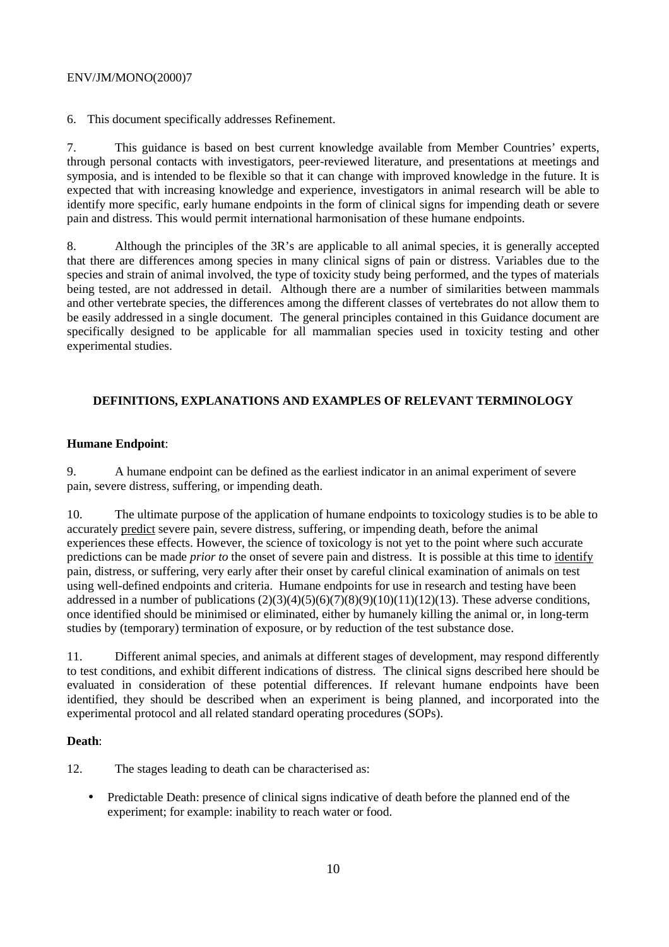6. This document specifically addresses Refinement.

7. This guidance is based on best current knowledge available from Member Countries' experts, through personal contacts with investigators, peer-reviewed literature, and presentations at meetings and symposia, and is intended to be flexible so that it can change with improved knowledge in the future. It is expected that with increasing knowledge and experience, investigators in animal research will be able to identify more specific, early humane endpoints in the form of clinical signs for impending death or severe pain and distress. This would permit international harmonisation of these humane endpoints.

8. Although the principles of the 3R's are applicable to all animal species, it is generally accepted that there are differences among species in many clinical signs of pain or distress. Variables due to the species and strain of animal involved, the type of toxicity study being performed, and the types of materials being tested, are not addressed in detail. Although there are a number of similarities between mammals and other vertebrate species, the differences among the different classes of vertebrates do not allow them to be easily addressed in a single document. The general principles contained in this Guidance document are specifically designed to be applicable for all mammalian species used in toxicity testing and other experimental studies.

# **DEFINITIONS, EXPLANATIONS AND EXAMPLES OF RELEVANT TERMINOLOGY**

## **Humane Endpoint**:

9. A humane endpoint can be defined as the earliest indicator in an animal experiment of severe pain, severe distress, suffering, or impending death.

10. The ultimate purpose of the application of humane endpoints to toxicology studies is to be able to accurately predict severe pain, severe distress, suffering, or impending death, before the animal experiences these effects. However, the science of toxicology is not yet to the point where such accurate predictions can be made *prior to* the onset of severe pain and distress. It is possible at this time to identify pain, distress, or suffering, very early after their onset by careful clinical examination of animals on test using well-defined endpoints and criteria. Humane endpoints for use in research and testing have been addressed in a number of publications  $(2)(3)(4)(5)(6)(7)(8)(9)(10)(11)(12)(13)$ . These adverse conditions, once identified should be minimised or eliminated, either by humanely killing the animal or, in long-term studies by (temporary) termination of exposure, or by reduction of the test substance dose.

11. Different animal species, and animals at different stages of development, may respond differently to test conditions, and exhibit different indications of distress. The clinical signs described here should be evaluated in consideration of these potential differences. If relevant humane endpoints have been identified, they should be described when an experiment is being planned, and incorporated into the experimental protocol and all related standard operating procedures (SOPs).

## **Death**:

- 12. The stages leading to death can be characterised as:
	- Predictable Death: presence of clinical signs indicative of death before the planned end of the experiment; for example: inability to reach water or food.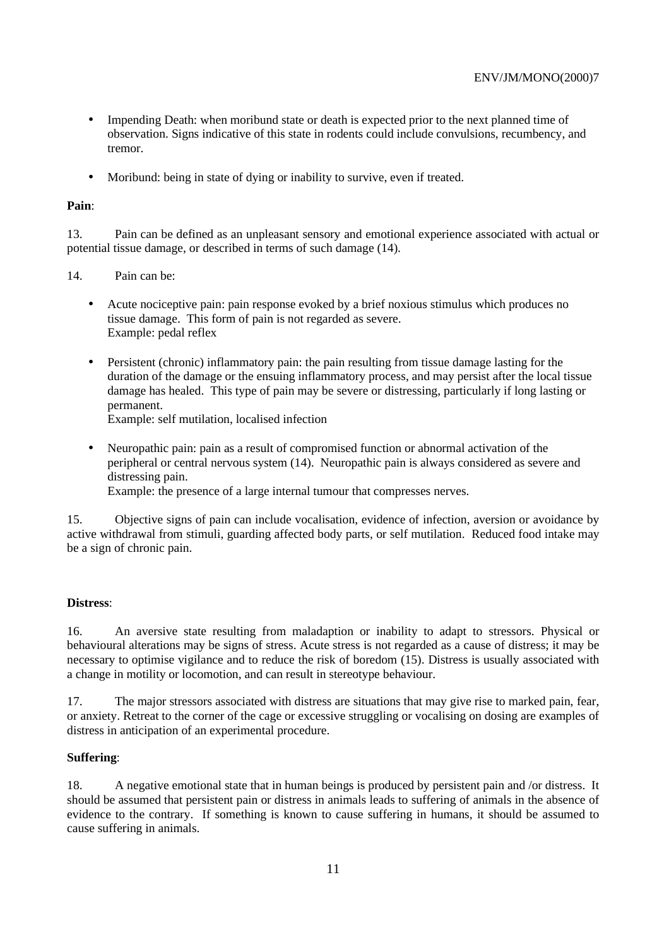- Impending Death: when moribund state or death is expected prior to the next planned time of observation. Signs indicative of this state in rodents could include convulsions, recumbency, and tremor.
- Moribund: being in state of dying or inability to survive, even if treated.

## **Pain**:

13. Pain can be defined as an unpleasant sensory and emotional experience associated with actual or potential tissue damage, or described in terms of such damage (14).

14. Pain can be:

- Acute nociceptive pain: pain response evoked by a brief noxious stimulus which produces no tissue damage. This form of pain is not regarded as severe. Example: pedal reflex
- Persistent (chronic) inflammatory pain: the pain resulting from tissue damage lasting for the duration of the damage or the ensuing inflammatory process, and may persist after the local tissue damage has healed. This type of pain may be severe or distressing, particularly if long lasting or permanent.

Example: self mutilation, localised infection

• Neuropathic pain: pain as a result of compromised function or abnormal activation of the peripheral or central nervous system (14). Neuropathic pain is always considered as severe and distressing pain.

Example: the presence of a large internal tumour that compresses nerves.

15. Objective signs of pain can include vocalisation, evidence of infection, aversion or avoidance by active withdrawal from stimuli, guarding affected body parts, or self mutilation. Reduced food intake may be a sign of chronic pain.

## **Distress**:

16. An aversive state resulting from maladaption or inability to adapt to stressors. Physical or behavioural alterations may be signs of stress. Acute stress is not regarded as a cause of distress; it may be necessary to optimise vigilance and to reduce the risk of boredom (15). Distress is usually associated with a change in motility or locomotion, and can result in stereotype behaviour.

17. The major stressors associated with distress are situations that may give rise to marked pain, fear, or anxiety. Retreat to the corner of the cage or excessive struggling or vocalising on dosing are examples of distress in anticipation of an experimental procedure.

## **Suffering**:

18. A negative emotional state that in human beings is produced by persistent pain and /or distress. It should be assumed that persistent pain or distress in animals leads to suffering of animals in the absence of evidence to the contrary. If something is known to cause suffering in humans, it should be assumed to cause suffering in animals.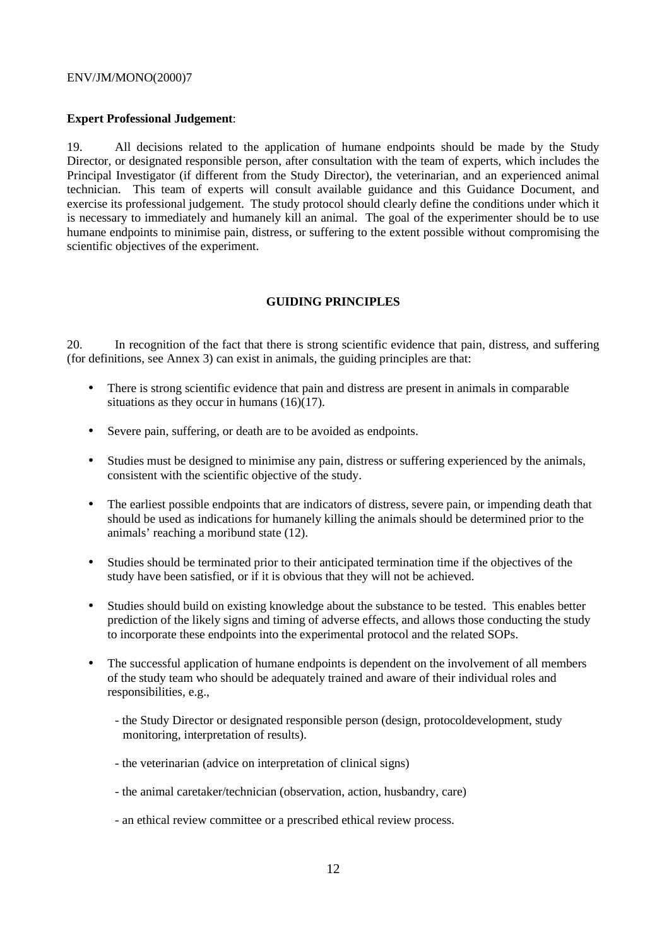## **Expert Professional Judgement**:

19. All decisions related to the application of humane endpoints should be made by the Study Director, or designated responsible person, after consultation with the team of experts, which includes the Principal Investigator (if different from the Study Director), the veterinarian, and an experienced animal technician. This team of experts will consult available guidance and this Guidance Document, and exercise its professional judgement. The study protocol should clearly define the conditions under which it is necessary to immediately and humanely kill an animal. The goal of the experimenter should be to use humane endpoints to minimise pain, distress, or suffering to the extent possible without compromising the scientific objectives of the experiment.

## **GUIDING PRINCIPLES**

20. In recognition of the fact that there is strong scientific evidence that pain, distress, and suffering (for definitions, see Annex 3) can exist in animals, the guiding principles are that:

- There is strong scientific evidence that pain and distress are present in animals in comparable situations as they occur in humans (16)(17).
- Severe pain, suffering, or death are to be avoided as endpoints.
- Studies must be designed to minimise any pain, distress or suffering experienced by the animals, consistent with the scientific objective of the study.
- The earliest possible endpoints that are indicators of distress, severe pain, or impending death that should be used as indications for humanely killing the animals should be determined prior to the animals' reaching a moribund state (12).
- Studies should be terminated prior to their anticipated termination time if the objectives of the study have been satisfied, or if it is obvious that they will not be achieved.
- Studies should build on existing knowledge about the substance to be tested. This enables better prediction of the likely signs and timing of adverse effects, and allows those conducting the study to incorporate these endpoints into the experimental protocol and the related SOPs.
- The successful application of humane endpoints is dependent on the involvement of all members of the study team who should be adequately trained and aware of their individual roles and responsibilities, e.g.,
	- the Study Director or designated responsible person (design, protocoldevelopment, study monitoring, interpretation of results).
	- the veterinarian (advice on interpretation of clinical signs)
	- the animal caretaker/technician (observation, action, husbandry, care)
	- an ethical review committee or a prescribed ethical review process.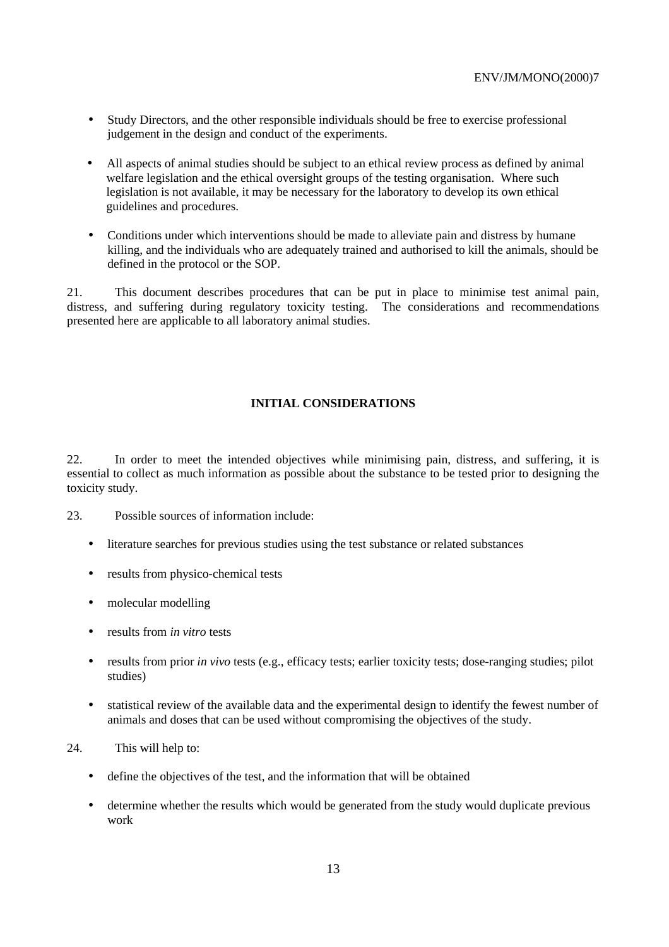- Study Directors, and the other responsible individuals should be free to exercise professional judgement in the design and conduct of the experiments.
- All aspects of animal studies should be subject to an ethical review process as defined by animal welfare legislation and the ethical oversight groups of the testing organisation. Where such legislation is not available, it may be necessary for the laboratory to develop its own ethical guidelines and procedures.
- Conditions under which interventions should be made to alleviate pain and distress by humane killing, and the individuals who are adequately trained and authorised to kill the animals, should be defined in the protocol or the SOP.

21. This document describes procedures that can be put in place to minimise test animal pain, distress, and suffering during regulatory toxicity testing. The considerations and recommendations presented here are applicable to all laboratory animal studies.

# **INITIAL CONSIDERATIONS**

22. In order to meet the intended objectives while minimising pain, distress, and suffering, it is essential to collect as much information as possible about the substance to be tested prior to designing the toxicity study.

- 23. Possible sources of information include:
	- literature searches for previous studies using the test substance or related substances
	- results from physico-chemical tests
	- molecular modelling
	- results from *in vitro* tests
	- results from prior *in vivo* tests (e.g., efficacy tests; earlier toxicity tests; dose-ranging studies; pilot studies)
	- statistical review of the available data and the experimental design to identify the fewest number of animals and doses that can be used without compromising the objectives of the study.
- 24. This will help to:
	- define the objectives of the test, and the information that will be obtained
	- determine whether the results which would be generated from the study would duplicate previous work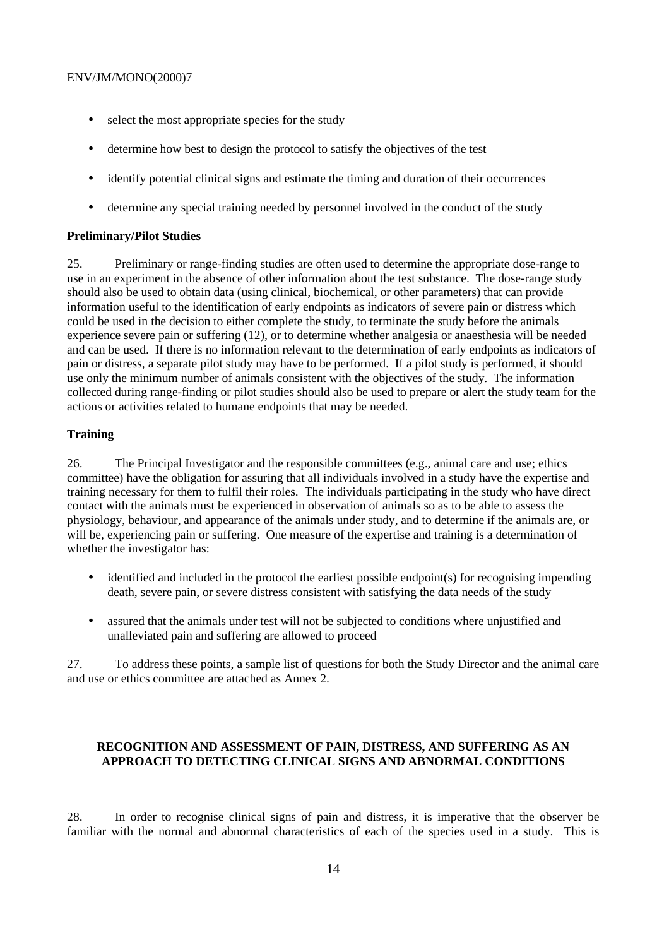- select the most appropriate species for the study
- determine how best to design the protocol to satisfy the objectives of the test
- identify potential clinical signs and estimate the timing and duration of their occurrences
- determine any special training needed by personnel involved in the conduct of the study

#### **Preliminary/Pilot Studies**

25. Preliminary or range-finding studies are often used to determine the appropriate dose-range to use in an experiment in the absence of other information about the test substance. The dose-range study should also be used to obtain data (using clinical, biochemical, or other parameters) that can provide information useful to the identification of early endpoints as indicators of severe pain or distress which could be used in the decision to either complete the study, to terminate the study before the animals experience severe pain or suffering (12), or to determine whether analgesia or anaesthesia will be needed and can be used. If there is no information relevant to the determination of early endpoints as indicators of pain or distress, a separate pilot study may have to be performed. If a pilot study is performed, it should use only the minimum number of animals consistent with the objectives of the study. The information collected during range-finding or pilot studies should also be used to prepare or alert the study team for the actions or activities related to humane endpoints that may be needed.

## **Training**

26. The Principal Investigator and the responsible committees (e.g., animal care and use; ethics committee) have the obligation for assuring that all individuals involved in a study have the expertise and training necessary for them to fulfil their roles. The individuals participating in the study who have direct contact with the animals must be experienced in observation of animals so as to be able to assess the physiology, behaviour, and appearance of the animals under study, and to determine if the animals are, or will be, experiencing pain or suffering. One measure of the expertise and training is a determination of whether the investigator has:

- identified and included in the protocol the earliest possible endpoint(s) for recognising impending death, severe pain, or severe distress consistent with satisfying the data needs of the study
- assured that the animals under test will not be subjected to conditions where unjustified and unalleviated pain and suffering are allowed to proceed

27. To address these points, a sample list of questions for both the Study Director and the animal care and use or ethics committee are attached as Annex 2.

## **RECOGNITION AND ASSESSMENT OF PAIN, DISTRESS, AND SUFFERING AS AN APPROACH TO DETECTING CLINICAL SIGNS AND ABNORMAL CONDITIONS**

28. In order to recognise clinical signs of pain and distress, it is imperative that the observer be familiar with the normal and abnormal characteristics of each of the species used in a study. This is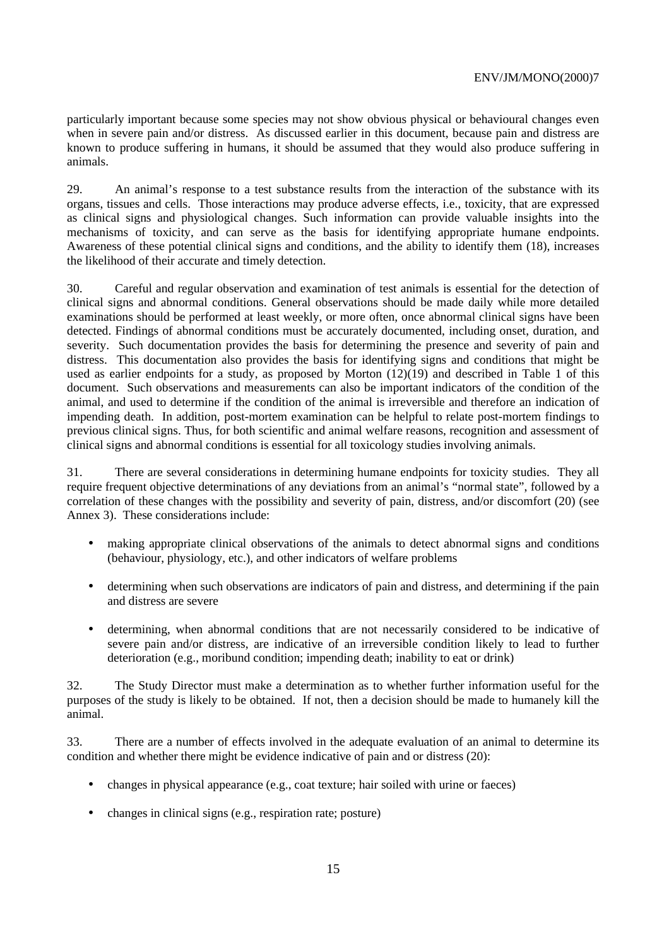particularly important because some species may not show obvious physical or behavioural changes even when in severe pain and/or distress. As discussed earlier in this document, because pain and distress are known to produce suffering in humans, it should be assumed that they would also produce suffering in animals.

29. An animal's response to a test substance results from the interaction of the substance with its organs, tissues and cells. Those interactions may produce adverse effects, i.e., toxicity, that are expressed as clinical signs and physiological changes. Such information can provide valuable insights into the mechanisms of toxicity, and can serve as the basis for identifying appropriate humane endpoints. Awareness of these potential clinical signs and conditions, and the ability to identify them (18), increases the likelihood of their accurate and timely detection.

30. Careful and regular observation and examination of test animals is essential for the detection of clinical signs and abnormal conditions. General observations should be made daily while more detailed examinations should be performed at least weekly, or more often, once abnormal clinical signs have been detected. Findings of abnormal conditions must be accurately documented, including onset, duration, and severity. Such documentation provides the basis for determining the presence and severity of pain and distress. This documentation also provides the basis for identifying signs and conditions that might be used as earlier endpoints for a study, as proposed by Morton (12)(19) and described in Table 1 of this document. Such observations and measurements can also be important indicators of the condition of the animal, and used to determine if the condition of the animal is irreversible and therefore an indication of impending death. In addition, post-mortem examination can be helpful to relate post-mortem findings to previous clinical signs. Thus, for both scientific and animal welfare reasons, recognition and assessment of clinical signs and abnormal conditions is essential for all toxicology studies involving animals.

31. There are several considerations in determining humane endpoints for toxicity studies. They all require frequent objective determinations of any deviations from an animal's "normal state", followed by a correlation of these changes with the possibility and severity of pain, distress, and/or discomfort (20) (see Annex 3). These considerations include:

- making appropriate clinical observations of the animals to detect abnormal signs and conditions (behaviour, physiology, etc.), and other indicators of welfare problems
- determining when such observations are indicators of pain and distress, and determining if the pain and distress are severe
- determining, when abnormal conditions that are not necessarily considered to be indicative of severe pain and/or distress, are indicative of an irreversible condition likely to lead to further deterioration (e.g., moribund condition; impending death; inability to eat or drink)

32. The Study Director must make a determination as to whether further information useful for the purposes of the study is likely to be obtained. If not, then a decision should be made to humanely kill the animal.

33. There are a number of effects involved in the adequate evaluation of an animal to determine its condition and whether there might be evidence indicative of pain and or distress (20):

- changes in physical appearance (e.g., coat texture; hair soiled with urine or faeces)
- changes in clinical signs (e.g., respiration rate; posture)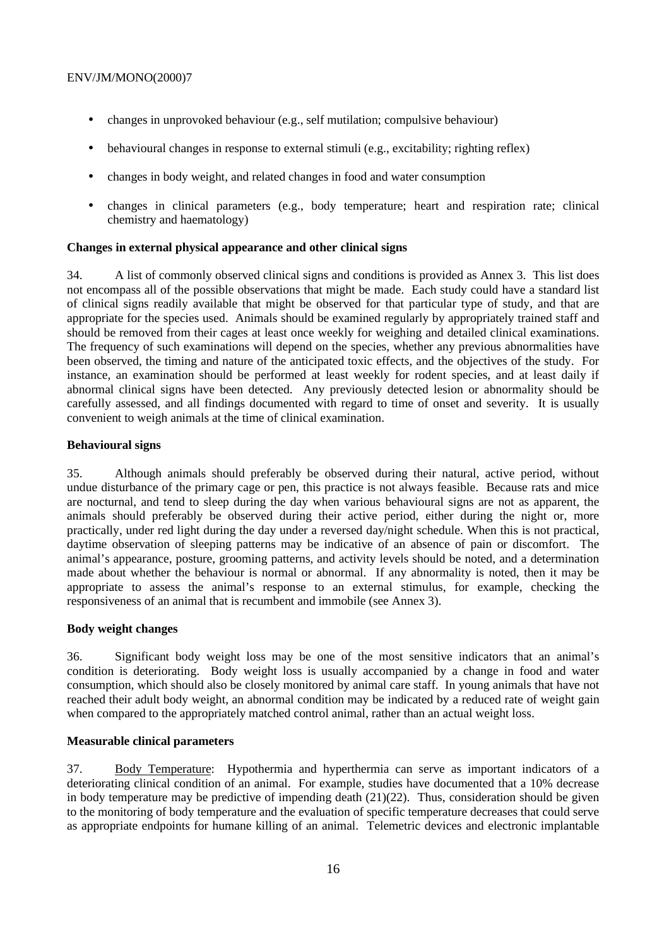- changes in unprovoked behaviour (e.g., self mutilation; compulsive behaviour)
- behavioural changes in response to external stimuli (e.g., excitability; righting reflex)
- changes in body weight, and related changes in food and water consumption
- changes in clinical parameters (e.g., body temperature; heart and respiration rate; clinical chemistry and haematology)

## **Changes in external physical appearance and other clinical signs**

34. A list of commonly observed clinical signs and conditions is provided as Annex 3. This list does not encompass all of the possible observations that might be made. Each study could have a standard list of clinical signs readily available that might be observed for that particular type of study, and that are appropriate for the species used. Animals should be examined regularly by appropriately trained staff and should be removed from their cages at least once weekly for weighing and detailed clinical examinations. The frequency of such examinations will depend on the species, whether any previous abnormalities have been observed, the timing and nature of the anticipated toxic effects, and the objectives of the study. For instance, an examination should be performed at least weekly for rodent species, and at least daily if abnormal clinical signs have been detected. Any previously detected lesion or abnormality should be carefully assessed, and all findings documented with regard to time of onset and severity. It is usually convenient to weigh animals at the time of clinical examination.

## **Behavioural signs**

35. Although animals should preferably be observed during their natural, active period, without undue disturbance of the primary cage or pen, this practice is not always feasible. Because rats and mice are nocturnal, and tend to sleep during the day when various behavioural signs are not as apparent, the animals should preferably be observed during their active period, either during the night or, more practically, under red light during the day under a reversed day/night schedule. When this is not practical, daytime observation of sleeping patterns may be indicative of an absence of pain or discomfort. The animal's appearance, posture, grooming patterns, and activity levels should be noted, and a determination made about whether the behaviour is normal or abnormal. If any abnormality is noted, then it may be appropriate to assess the animal's response to an external stimulus, for example, checking the responsiveness of an animal that is recumbent and immobile (see Annex 3).

## **Body weight changes**

36. Significant body weight loss may be one of the most sensitive indicators that an animal's condition is deteriorating. Body weight loss is usually accompanied by a change in food and water consumption, which should also be closely monitored by animal care staff. In young animals that have not reached their adult body weight, an abnormal condition may be indicated by a reduced rate of weight gain when compared to the appropriately matched control animal, rather than an actual weight loss.

## **Measurable clinical parameters**

37. Body Temperature: Hypothermia and hyperthermia can serve as important indicators of a deteriorating clinical condition of an animal. For example, studies have documented that a 10% decrease in body temperature may be predictive of impending death (21)(22). Thus, consideration should be given to the monitoring of body temperature and the evaluation of specific temperature decreases that could serve as appropriate endpoints for humane killing of an animal. Telemetric devices and electronic implantable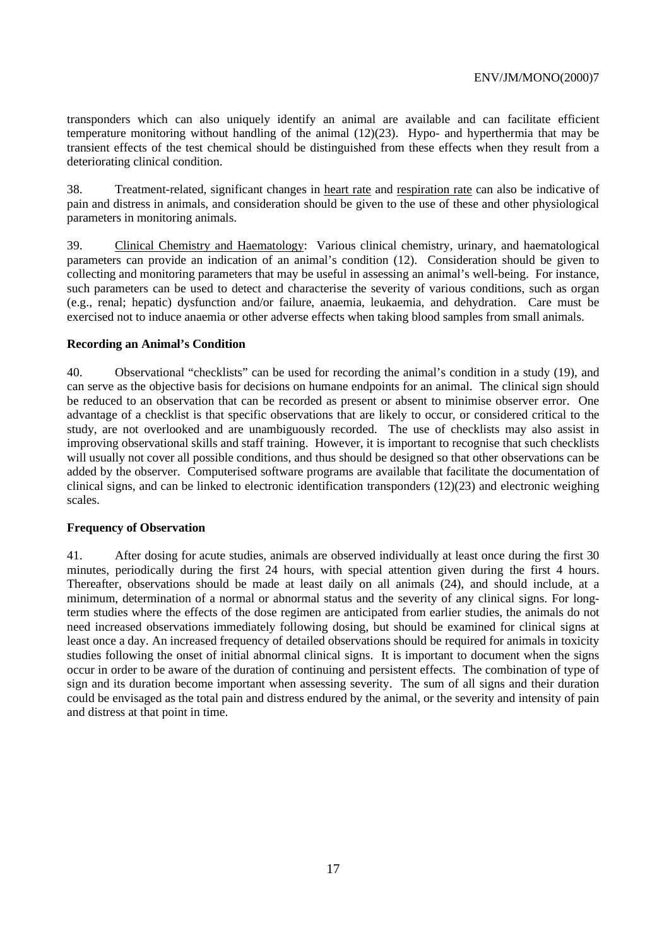transponders which can also uniquely identify an animal are available and can facilitate efficient temperature monitoring without handling of the animal (12)(23). Hypo- and hyperthermia that may be transient effects of the test chemical should be distinguished from these effects when they result from a deteriorating clinical condition.

38. Treatment-related, significant changes in heart rate and respiration rate can also be indicative of pain and distress in animals, and consideration should be given to the use of these and other physiological parameters in monitoring animals.

39. Clinical Chemistry and Haematology: Various clinical chemistry, urinary, and haematological parameters can provide an indication of an animal's condition (12). Consideration should be given to collecting and monitoring parameters that may be useful in assessing an animal's well-being. For instance, such parameters can be used to detect and characterise the severity of various conditions, such as organ (e.g., renal; hepatic) dysfunction and/or failure, anaemia, leukaemia, and dehydration. Care must be exercised not to induce anaemia or other adverse effects when taking blood samples from small animals.

## **Recording an Animal's Condition**

40. Observational "checklists" can be used for recording the animal's condition in a study (19), and can serve as the objective basis for decisions on humane endpoints for an animal. The clinical sign should be reduced to an observation that can be recorded as present or absent to minimise observer error. One advantage of a checklist is that specific observations that are likely to occur, or considered critical to the study, are not overlooked and are unambiguously recorded. The use of checklists may also assist in improving observational skills and staff training. However, it is important to recognise that such checklists will usually not cover all possible conditions, and thus should be designed so that other observations can be added by the observer. Computerised software programs are available that facilitate the documentation of clinical signs, and can be linked to electronic identification transponders (12)(23) and electronic weighing scales.

## **Frequency of Observation**

41. After dosing for acute studies, animals are observed individually at least once during the first 30 minutes, periodically during the first 24 hours, with special attention given during the first 4 hours. Thereafter, observations should be made at least daily on all animals (24), and should include, at a minimum, determination of a normal or abnormal status and the severity of any clinical signs. For longterm studies where the effects of the dose regimen are anticipated from earlier studies, the animals do not need increased observations immediately following dosing, but should be examined for clinical signs at least once a day. An increased frequency of detailed observations should be required for animals in toxicity studies following the onset of initial abnormal clinical signs. It is important to document when the signs occur in order to be aware of the duration of continuing and persistent effects. The combination of type of sign and its duration become important when assessing severity. The sum of all signs and their duration could be envisaged as the total pain and distress endured by the animal, or the severity and intensity of pain and distress at that point in time.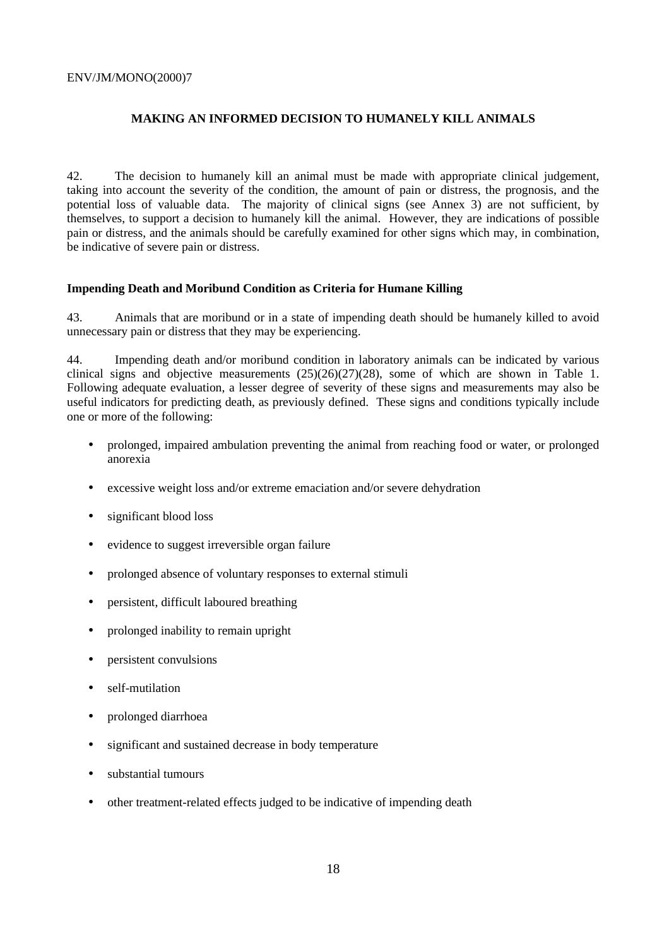## **MAKING AN INFORMED DECISION TO HUMANELY KILL ANIMALS**

42. The decision to humanely kill an animal must be made with appropriate clinical judgement, taking into account the severity of the condition, the amount of pain or distress, the prognosis, and the potential loss of valuable data. The majority of clinical signs (see Annex 3) are not sufficient, by themselves, to support a decision to humanely kill the animal. However, they are indications of possible pain or distress, and the animals should be carefully examined for other signs which may, in combination, be indicative of severe pain or distress.

## **Impending Death and Moribund Condition as Criteria for Humane Killing**

43. Animals that are moribund or in a state of impending death should be humanely killed to avoid unnecessary pain or distress that they may be experiencing.

44. Impending death and/or moribund condition in laboratory animals can be indicated by various clinical signs and objective measurements (25)(26)(27)(28), some of which are shown in Table 1. Following adequate evaluation, a lesser degree of severity of these signs and measurements may also be useful indicators for predicting death, as previously defined. These signs and conditions typically include one or more of the following:

- prolonged, impaired ambulation preventing the animal from reaching food or water, or prolonged anorexia
- excessive weight loss and/or extreme emaciation and/or severe dehydration
- significant blood loss
- evidence to suggest irreversible organ failure
- prolonged absence of voluntary responses to external stimuli
- persistent, difficult laboured breathing
- prolonged inability to remain upright
- persistent convulsions
- self-mutilation
- prolonged diarrhoea
- significant and sustained decrease in body temperature
- substantial tumours
- other treatment-related effects judged to be indicative of impending death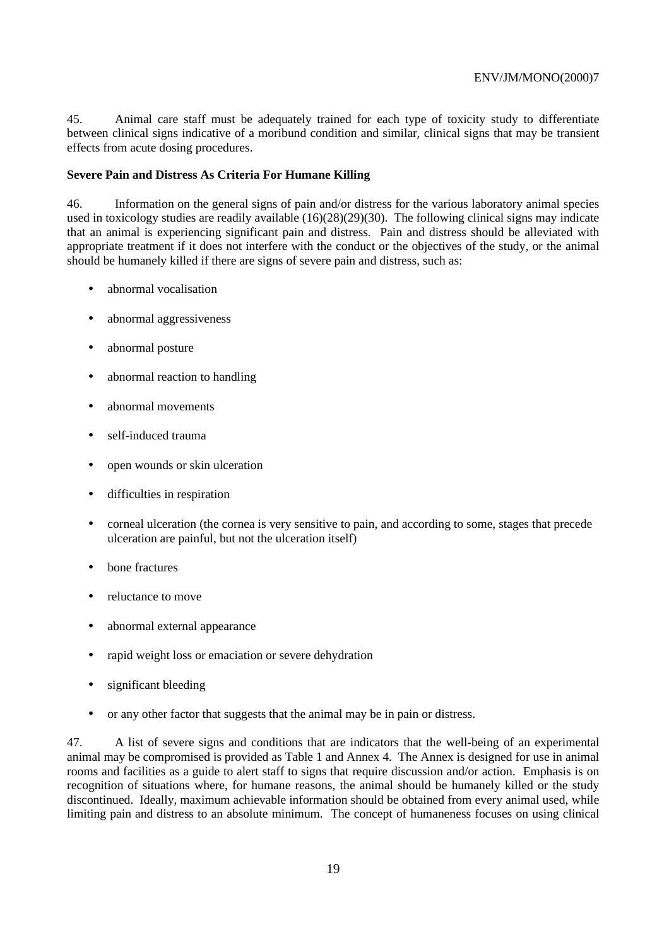45. Animal care staff must be adequately trained for each type of toxicity study to differentiate between clinical signs indicative of a moribund condition and similar, clinical signs that may be transient effects from acute dosing procedures.

## **Severe Pain and Distress As Criteria For Humane Killing**

46. Information on the general signs of pain and/or distress for the various laboratory animal species used in toxicology studies are readily available (16)(28)(29)(30). The following clinical signs may indicate that an animal is experiencing significant pain and distress. Pain and distress should be alleviated with appropriate treatment if it does not interfere with the conduct or the objectives of the study, or the animal should be humanely killed if there are signs of severe pain and distress, such as:

- abnormal vocalisation
- abnormal aggressiveness
- abnormal posture
- abnormal reaction to handling
- abnormal movements
- self-induced trauma
- open wounds or skin ulceration
- difficulties in respiration
- corneal ulceration (the cornea is very sensitive to pain, and according to some, stages that precede ulceration are painful, but not the ulceration itself)
- bone fractures
- reluctance to move
- abnormal external appearance
- rapid weight loss or emaciation or severe dehydration
- significant bleeding
- or any other factor that suggests that the animal may be in pain or distress.

47. A list of severe signs and conditions that are indicators that the well-being of an experimental animal may be compromised is provided as Table 1 and Annex 4. The Annex is designed for use in animal rooms and facilities as a guide to alert staff to signs that require discussion and/or action. Emphasis is on recognition of situations where, for humane reasons, the animal should be humanely killed or the study discontinued. Ideally, maximum achievable information should be obtained from every animal used, while limiting pain and distress to an absolute minimum. The concept of humaneness focuses on using clinical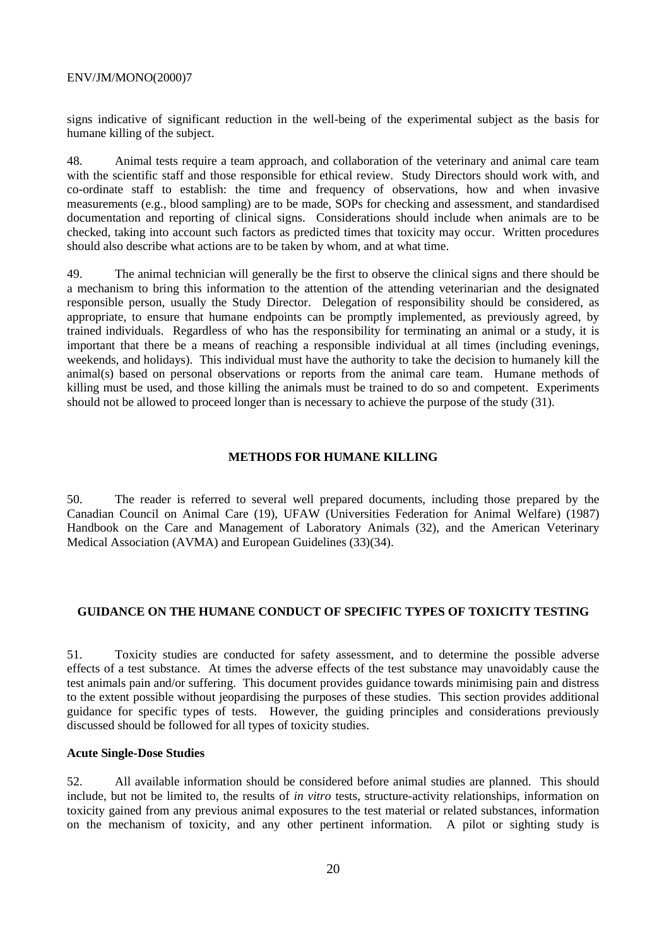signs indicative of significant reduction in the well-being of the experimental subject as the basis for humane killing of the subject.

48. Animal tests require a team approach, and collaboration of the veterinary and animal care team with the scientific staff and those responsible for ethical review. Study Directors should work with, and co-ordinate staff to establish: the time and frequency of observations, how and when invasive measurements (e.g., blood sampling) are to be made, SOPs for checking and assessment, and standardised documentation and reporting of clinical signs. Considerations should include when animals are to be checked, taking into account such factors as predicted times that toxicity may occur. Written procedures should also describe what actions are to be taken by whom, and at what time.

49. The animal technician will generally be the first to observe the clinical signs and there should be a mechanism to bring this information to the attention of the attending veterinarian and the designated responsible person, usually the Study Director. Delegation of responsibility should be considered, as appropriate, to ensure that humane endpoints can be promptly implemented, as previously agreed, by trained individuals. Regardless of who has the responsibility for terminating an animal or a study, it is important that there be a means of reaching a responsible individual at all times (including evenings, weekends, and holidays). This individual must have the authority to take the decision to humanely kill the animal(s) based on personal observations or reports from the animal care team. Humane methods of killing must be used, and those killing the animals must be trained to do so and competent. Experiments should not be allowed to proceed longer than is necessary to achieve the purpose of the study (31).

#### **METHODS FOR HUMANE KILLING**

50. The reader is referred to several well prepared documents, including those prepared by the Canadian Council on Animal Care (19), UFAW (Universities Federation for Animal Welfare) (1987) Handbook on the Care and Management of Laboratory Animals (32), and the American Veterinary Medical Association (AVMA) and European Guidelines (33)(34).

#### **GUIDANCE ON THE HUMANE CONDUCT OF SPECIFIC TYPES OF TOXICITY TESTING**

51. Toxicity studies are conducted for safety assessment, and to determine the possible adverse effects of a test substance. At times the adverse effects of the test substance may unavoidably cause the test animals pain and/or suffering. This document provides guidance towards minimising pain and distress to the extent possible without jeopardising the purposes of these studies. This section provides additional guidance for specific types of tests. However, the guiding principles and considerations previously discussed should be followed for all types of toxicity studies.

#### **Acute Single-Dose Studies**

52. All available information should be considered before animal studies are planned. This should include, but not be limited to, the results of *in vitro* tests, structure-activity relationships, information on toxicity gained from any previous animal exposures to the test material or related substances, information on the mechanism of toxicity, and any other pertinent information. A pilot or sighting study is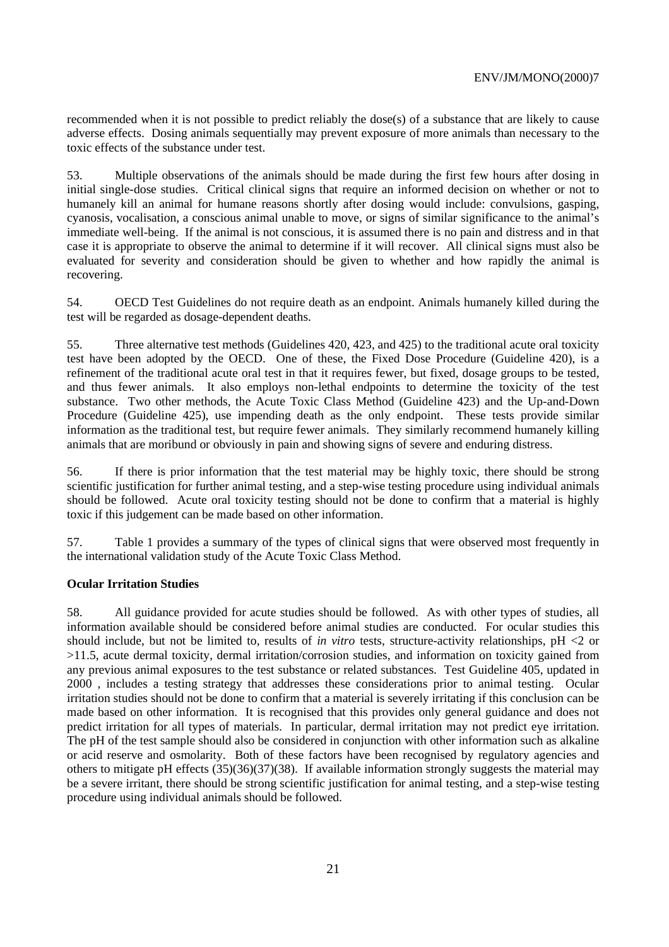recommended when it is not possible to predict reliably the dose(s) of a substance that are likely to cause adverse effects. Dosing animals sequentially may prevent exposure of more animals than necessary to the toxic effects of the substance under test.

53. Multiple observations of the animals should be made during the first few hours after dosing in initial single-dose studies. Critical clinical signs that require an informed decision on whether or not to humanely kill an animal for humane reasons shortly after dosing would include: convulsions, gasping, cyanosis, vocalisation, a conscious animal unable to move, or signs of similar significance to the animal's immediate well-being. If the animal is not conscious, it is assumed there is no pain and distress and in that case it is appropriate to observe the animal to determine if it will recover. All clinical signs must also be evaluated for severity and consideration should be given to whether and how rapidly the animal is recovering.

54. OECD Test Guidelines do not require death as an endpoint. Animals humanely killed during the test will be regarded as dosage-dependent deaths.

55. Three alternative test methods (Guidelines 420, 423, and 425) to the traditional acute oral toxicity test have been adopted by the OECD. One of these, the Fixed Dose Procedure (Guideline 420), is a refinement of the traditional acute oral test in that it requires fewer, but fixed, dosage groups to be tested, and thus fewer animals. It also employs non-lethal endpoints to determine the toxicity of the test substance. Two other methods, the Acute Toxic Class Method (Guideline 423) and the Up-and-Down Procedure (Guideline 425), use impending death as the only endpoint. These tests provide similar information as the traditional test, but require fewer animals. They similarly recommend humanely killing animals that are moribund or obviously in pain and showing signs of severe and enduring distress.

56. If there is prior information that the test material may be highly toxic, there should be strong scientific justification for further animal testing, and a step-wise testing procedure using individual animals should be followed. Acute oral toxicity testing should not be done to confirm that a material is highly toxic if this judgement can be made based on other information.

57. Table 1 provides a summary of the types of clinical signs that were observed most frequently in the international validation study of the Acute Toxic Class Method.

## **Ocular Irritation Studies**

58. All guidance provided for acute studies should be followed. As with other types of studies, all information available should be considered before animal studies are conducted. For ocular studies this should include, but not be limited to, results of *in vitro* tests, structure-activity relationships, pH <2 or >11.5, acute dermal toxicity, dermal irritation/corrosion studies, and information on toxicity gained from any previous animal exposures to the test substance or related substances. Test Guideline 405, updated in 2000 , includes a testing strategy that addresses these considerations prior to animal testing. Ocular irritation studies should not be done to confirm that a material is severely irritating if this conclusion can be made based on other information. It is recognised that this provides only general guidance and does not predict irritation for all types of materials. In particular, dermal irritation may not predict eye irritation. The pH of the test sample should also be considered in conjunction with other information such as alkaline or acid reserve and osmolarity. Both of these factors have been recognised by regulatory agencies and others to mitigate pH effects (35)(36)(37)(38). If available information strongly suggests the material may be a severe irritant, there should be strong scientific justification for animal testing, and a step-wise testing procedure using individual animals should be followed.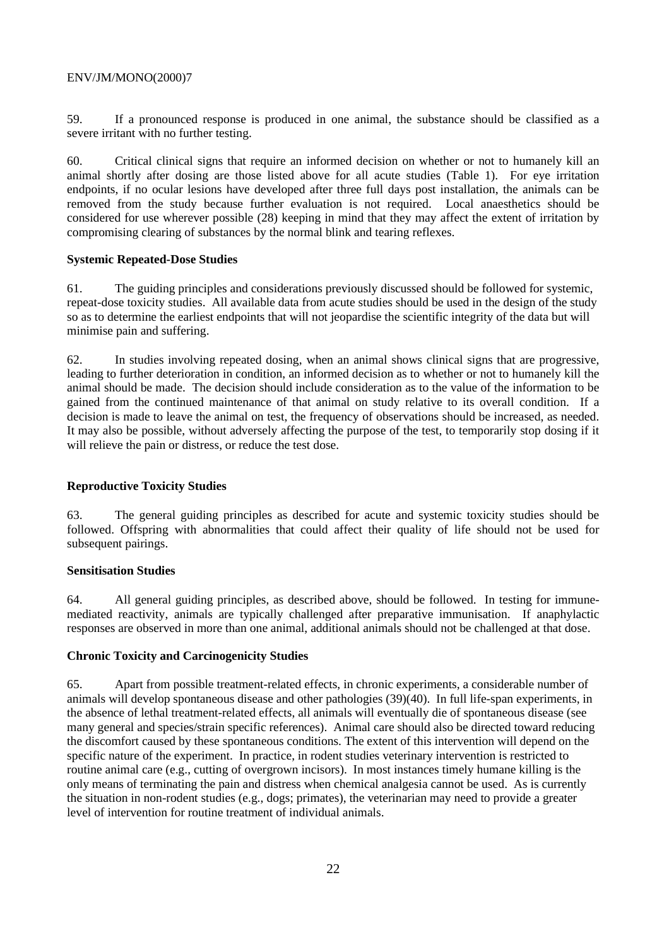59. If a pronounced response is produced in one animal, the substance should be classified as a severe irritant with no further testing.

60. Critical clinical signs that require an informed decision on whether or not to humanely kill an animal shortly after dosing are those listed above for all acute studies (Table 1). For eye irritation endpoints, if no ocular lesions have developed after three full days post installation, the animals can be removed from the study because further evaluation is not required. Local anaesthetics should be considered for use wherever possible (28) keeping in mind that they may affect the extent of irritation by compromising clearing of substances by the normal blink and tearing reflexes.

## **Systemic Repeated-Dose Studies**

61. The guiding principles and considerations previously discussed should be followed for systemic, repeat-dose toxicity studies. All available data from acute studies should be used in the design of the study so as to determine the earliest endpoints that will not jeopardise the scientific integrity of the data but will minimise pain and suffering.

62. In studies involving repeated dosing, when an animal shows clinical signs that are progressive, leading to further deterioration in condition, an informed decision as to whether or not to humanely kill the animal should be made. The decision should include consideration as to the value of the information to be gained from the continued maintenance of that animal on study relative to its overall condition. If a decision is made to leave the animal on test, the frequency of observations should be increased, as needed. It may also be possible, without adversely affecting the purpose of the test, to temporarily stop dosing if it will relieve the pain or distress, or reduce the test dose.

## **Reproductive Toxicity Studies**

63. The general guiding principles as described for acute and systemic toxicity studies should be followed. Offspring with abnormalities that could affect their quality of life should not be used for subsequent pairings.

## **Sensitisation Studies**

64. All general guiding principles, as described above, should be followed. In testing for immunemediated reactivity, animals are typically challenged after preparative immunisation. If anaphylactic responses are observed in more than one animal, additional animals should not be challenged at that dose.

#### **Chronic Toxicity and Carcinogenicity Studies**

65. Apart from possible treatment-related effects, in chronic experiments, a considerable number of animals will develop spontaneous disease and other pathologies (39)(40). In full life-span experiments, in the absence of lethal treatment-related effects, all animals will eventually die of spontaneous disease (see many general and species/strain specific references). Animal care should also be directed toward reducing the discomfort caused by these spontaneous conditions. The extent of this intervention will depend on the specific nature of the experiment. In practice, in rodent studies veterinary intervention is restricted to routine animal care (e.g., cutting of overgrown incisors). In most instances timely humane killing is the only means of terminating the pain and distress when chemical analgesia cannot be used. As is currently the situation in non-rodent studies (e.g., dogs; primates), the veterinarian may need to provide a greater level of intervention for routine treatment of individual animals.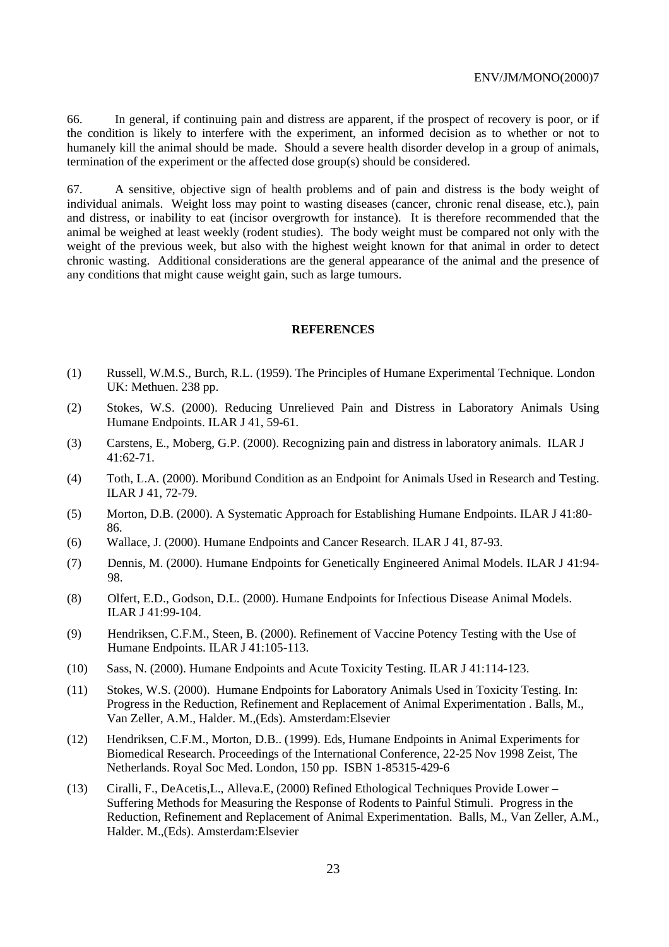66. In general, if continuing pain and distress are apparent, if the prospect of recovery is poor, or if the condition is likely to interfere with the experiment, an informed decision as to whether or not to humanely kill the animal should be made. Should a severe health disorder develop in a group of animals, termination of the experiment or the affected dose group(s) should be considered.

67. A sensitive, objective sign of health problems and of pain and distress is the body weight of individual animals. Weight loss may point to wasting diseases (cancer, chronic renal disease, etc.), pain and distress, or inability to eat (incisor overgrowth for instance). It is therefore recommended that the animal be weighed at least weekly (rodent studies). The body weight must be compared not only with the weight of the previous week, but also with the highest weight known for that animal in order to detect chronic wasting. Additional considerations are the general appearance of the animal and the presence of any conditions that might cause weight gain, such as large tumours.

## **REFERENCES**

- (1) Russell, W.M.S., Burch, R.L. (1959). The Principles of Humane Experimental Technique. London UK: Methuen. 238 pp.
- (2) Stokes, W.S. (2000). Reducing Unrelieved Pain and Distress in Laboratory Animals Using Humane Endpoints. ILAR J 41, 59-61.
- (3) Carstens, E., Moberg, G.P. (2000). Recognizing pain and distress in laboratory animals. ILAR J 41:62-71.
- (4) Toth, L.A. (2000). Moribund Condition as an Endpoint for Animals Used in Research and Testing. ILAR J 41, 72-79.
- (5) Morton, D.B. (2000). A Systematic Approach for Establishing Humane Endpoints. ILAR J 41:80- 86.
- (6) Wallace, J. (2000). Humane Endpoints and Cancer Research. ILAR J 41, 87-93.
- (7) Dennis, M. (2000). Humane Endpoints for Genetically Engineered Animal Models. ILAR J 41:94- 98.
- (8) Olfert, E.D., Godson, D.L. (2000). Humane Endpoints for Infectious Disease Animal Models. ILAR J 41:99-104.
- (9) Hendriksen, C.F.M., Steen, B. (2000). Refinement of Vaccine Potency Testing with the Use of Humane Endpoints. ILAR J 41:105-113.
- (10) Sass, N. (2000). Humane Endpoints and Acute Toxicity Testing. ILAR J 41:114-123.
- (11) Stokes, W.S. (2000). Humane Endpoints for Laboratory Animals Used in Toxicity Testing. In: Progress in the Reduction, Refinement and Replacement of Animal Experimentation . Balls, M., Van Zeller, A.M., Halder. M.,(Eds). Amsterdam:Elsevier
- (12) Hendriksen, C.F.M., Morton, D.B.. (1999). Eds, Humane Endpoints in Animal Experiments for Biomedical Research. Proceedings of the International Conference, 22-25 Nov 1998 Zeist, The Netherlands. Royal Soc Med. London, 150 pp. ISBN 1-85315-429-6
- (13) Ciralli, F., DeAcetis,L., Alleva.E, (2000) Refined Ethological Techniques Provide Lower Suffering Methods for Measuring the Response of Rodents to Painful Stimuli. Progress in the Reduction, Refinement and Replacement of Animal Experimentation. Balls, M., Van Zeller, A.M., Halder. M.,(Eds). Amsterdam:Elsevier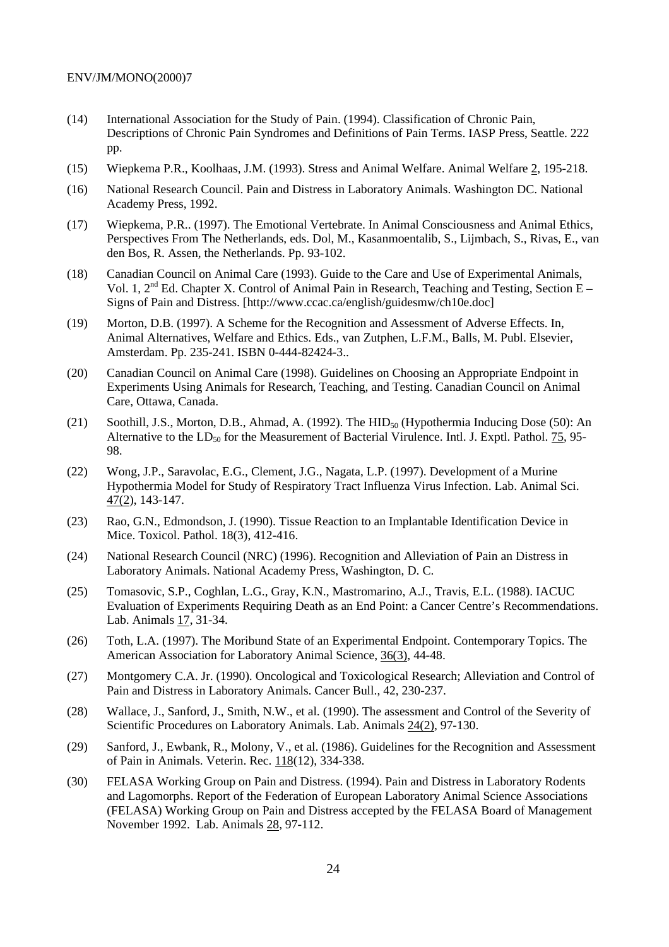- (14) International Association for the Study of Pain. (1994). Classification of Chronic Pain, Descriptions of Chronic Pain Syndromes and Definitions of Pain Terms. IASP Press, Seattle. 222 pp.
- (15) Wiepkema P.R., Koolhaas, J.M. (1993). Stress and Animal Welfare. Animal Welfare 2, 195-218.
- (16) National Research Council. Pain and Distress in Laboratory Animals. Washington DC. National Academy Press, 1992.
- (17) Wiepkema, P.R.. (1997). The Emotional Vertebrate. In Animal Consciousness and Animal Ethics, Perspectives From The Netherlands, eds. Dol, M., Kasanmoentalib, S., Lijmbach, S., Rivas, E., van den Bos, R. Assen, the Netherlands. Pp. 93-102.
- (18) Canadian Council on Animal Care (1993). Guide to the Care and Use of Experimental Animals, Vol. 1,  $2^{nd}$  Ed. Chapter X. Control of Animal Pain in Research, Teaching and Testing, Section E – Signs of Pain and Distress. [http://www.ccac.ca/english/guidesmw/ch10e.doc]
- (19) Morton, D.B. (1997). A Scheme for the Recognition and Assessment of Adverse Effects. In, Animal Alternatives, Welfare and Ethics. Eds., van Zutphen, L.F.M., Balls, M. Publ. Elsevier, Amsterdam. Pp. 235-241. ISBN 0-444-82424-3..
- (20) Canadian Council on Animal Care (1998). Guidelines on Choosing an Appropriate Endpoint in Experiments Using Animals for Research, Teaching, and Testing. Canadian Council on Animal Care, Ottawa, Canada.
- (21) Soothill, J.S., Morton, D.B., Ahmad, A. (1992). The  $HID<sub>50</sub>$  (Hypothermia Inducing Dose (50): An Alternative to the  $LD_{50}$  for the Measurement of Bacterial Virulence. Intl. J. Exptl. Pathol.  $75$ , 95-98.
- (22) Wong, J.P., Saravolac, E.G., Clement, J.G., Nagata, L.P. (1997). Development of a Murine Hypothermia Model for Study of Respiratory Tract Influenza Virus Infection. Lab. Animal Sci. 47(2), 143-147.
- (23) Rao, G.N., Edmondson, J. (1990). Tissue Reaction to an Implantable Identification Device in Mice. Toxicol. Pathol. 18(3), 412-416.
- (24) National Research Council (NRC) (1996). Recognition and Alleviation of Pain an Distress in Laboratory Animals. National Academy Press, Washington, D. C.
- (25) Tomasovic, S.P., Coghlan, L.G., Gray, K.N., Mastromarino, A.J., Travis, E.L. (1988). IACUC Evaluation of Experiments Requiring Death as an End Point: a Cancer Centre's Recommendations. Lab. Animals 17, 31-34.
- (26) Toth, L.A. (1997). The Moribund State of an Experimental Endpoint. Contemporary Topics. The American Association for Laboratory Animal Science, 36(3), 44-48.
- (27) Montgomery C.A. Jr. (1990). Oncological and Toxicological Research; Alleviation and Control of Pain and Distress in Laboratory Animals. Cancer Bull., 42, 230-237.
- (28) Wallace, J., Sanford, J., Smith, N.W., et al. (1990). The assessment and Control of the Severity of Scientific Procedures on Laboratory Animals. Lab. Animals 24(2), 97-130.
- (29) Sanford, J., Ewbank, R., Molony, V., et al. (1986). Guidelines for the Recognition and Assessment of Pain in Animals. Veterin. Rec. 118(12), 334-338.
- (30) FELASA Working Group on Pain and Distress. (1994). Pain and Distress in Laboratory Rodents and Lagomorphs. Report of the Federation of European Laboratory Animal Science Associations (FELASA) Working Group on Pain and Distress accepted by the FELASA Board of Management November 1992. Lab. Animals 28, 97-112.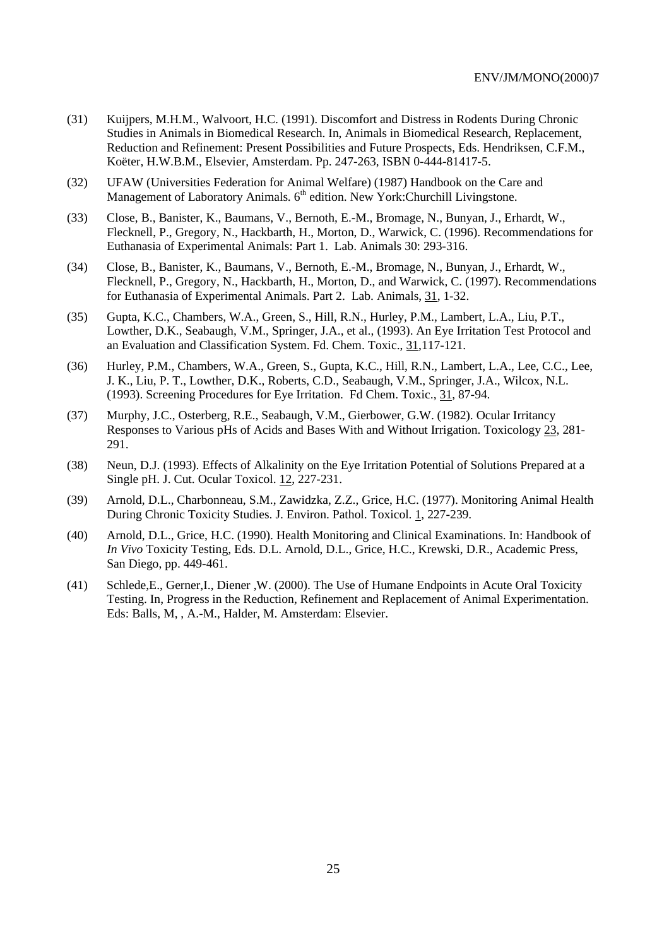- (31) Kuijpers, M.H.M., Walvoort, H.C. (1991). Discomfort and Distress in Rodents During Chronic Studies in Animals in Biomedical Research. In, Animals in Biomedical Research, Replacement, Reduction and Refinement: Present Possibilities and Future Prospects, Eds. Hendriksen, C.F.M., Koëter, H.W.B.M., Elsevier, Amsterdam. Pp. 247-263, ISBN 0-444-81417-5.
- (32) UFAW (Universities Federation for Animal Welfare) (1987) Handbook on the Care and Management of Laboratory Animals. 6<sup>th</sup> edition. New York:Churchill Livingstone.
- (33) Close, B., Banister, K., Baumans, V., Bernoth, E.-M., Bromage, N., Bunyan, J., Erhardt, W., Flecknell, P., Gregory, N., Hackbarth, H., Morton, D., Warwick, C. (1996). Recommendations for Euthanasia of Experimental Animals: Part 1. Lab. Animals 30: 293-316.
- (34) Close, B., Banister, K., Baumans, V., Bernoth, E.-M., Bromage, N., Bunyan, J., Erhardt, W., Flecknell, P., Gregory, N., Hackbarth, H., Morton, D., and Warwick, C. (1997). Recommendations for Euthanasia of Experimental Animals. Part 2. Lab. Animals, 31, 1-32.
- (35) Gupta, K.C., Chambers, W.A., Green, S., Hill, R.N., Hurley, P.M., Lambert, L.A., Liu, P.T., Lowther, D.K., Seabaugh, V.M., Springer, J.A., et al., (1993). An Eye Irritation Test Protocol and an Evaluation and Classification System. Fd. Chem. Toxic., 31,117-121.
- (36) Hurley, P.M., Chambers, W.A., Green, S., Gupta, K.C., Hill, R.N., Lambert, L.A., Lee, C.C., Lee, J. K., Liu, P. T., Lowther, D.K., Roberts, C.D., Seabaugh, V.M., Springer, J.A., Wilcox, N.L. (1993). Screening Procedures for Eye Irritation. Fd Chem. Toxic., 31, 87-94.
- (37) Murphy, J.C., Osterberg, R.E., Seabaugh, V.M., Gierbower, G.W. (1982). Ocular Irritancy Responses to Various pHs of Acids and Bases With and Without Irrigation. Toxicology 23, 281- 291.
- (38) Neun, D.J. (1993). Effects of Alkalinity on the Eye Irritation Potential of Solutions Prepared at a Single pH. J. Cut. Ocular Toxicol. 12, 227-231.
- (39) Arnold, D.L., Charbonneau, S.M., Zawidzka, Z.Z., Grice, H.C. (1977). Monitoring Animal Health During Chronic Toxicity Studies. J. Environ. Pathol. Toxicol. 1, 227-239.
- (40) Arnold, D.L., Grice, H.C. (1990). Health Monitoring and Clinical Examinations. In: Handbook of *In Vivo* Toxicity Testing, Eds. D.L. Arnold, D.L., Grice, H.C., Krewski, D.R., Academic Press, San Diego, pp. 449-461.
- (41) Schlede,E., Gerner,I., Diener ,W. (2000). The Use of Humane Endpoints in Acute Oral Toxicity Testing. In, Progress in the Reduction, Refinement and Replacement of Animal Experimentation. Eds: Balls, M, , A.-M., Halder, M. Amsterdam: Elsevier.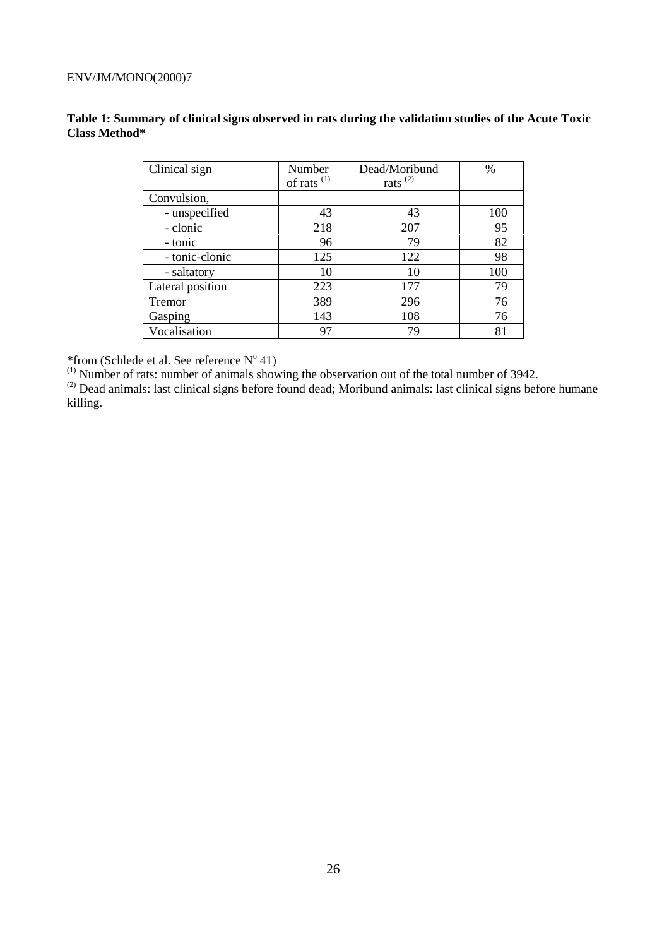| Clinical sign    | Number        | Dead/Moribund | $\%$ |
|------------------|---------------|---------------|------|
|                  | of rats $(1)$ | rats $^{(2)}$ |      |
| Convulsion,      |               |               |      |
| - unspecified    | 43            | 43            | 100  |
| - clonic         | 218           | 207           | 95   |
| - tonic          | 96            | 79            | 82   |
| - tonic-clonic   | 125           | 122           | 98   |
| - saltatory      | 10            | 10            | 100  |
| Lateral position | 223           | 177           | 79   |
| Tremor           | 389           | 296           | 76   |
| Gasping          | 143           | 108           | 76   |
| Vocalisation     | 97            | 79            | 81   |

## **Table 1: Summary of clinical signs observed in rats during the validation studies of the Acute Toxic Class Method\***

\*from (Schlede et al. See reference N° 41)

 $<sup>(1)</sup>$  Number of rats: number of animals showing the observation out of the total number of 3942.</sup>

 $^{(2)}$  Dead animals: last clinical signs before found dead; Moribund animals: last clinical signs before humane killing.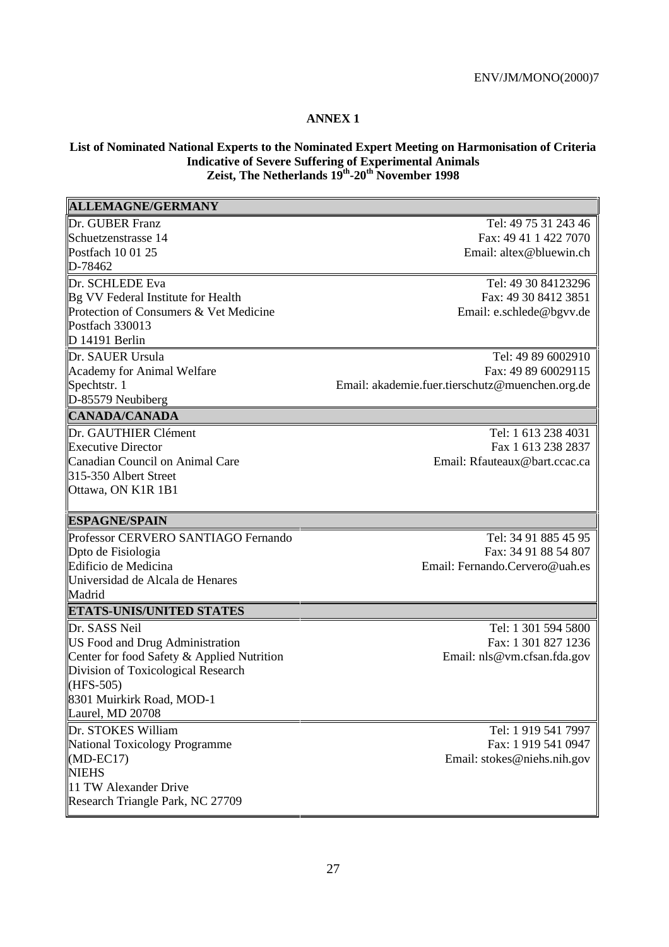# **ANNEX 1**

## **List of Nominated National Experts to the Nominated Expert Meeting on Harmonisation of Criteria Indicative of Severe Suffering of Experimental Animals Zeist, The Netherlands 19th-20th November 1998**

| <b>ALLEMAGNE/GERMANY</b>                                  |                                                 |
|-----------------------------------------------------------|-------------------------------------------------|
| Dr. GUBER Franz                                           | Tel: 49 75 31 243 46                            |
| Schuetzenstrasse 14                                       | Fax: 49 41 1 422 7070                           |
| Postfach 10 01 25                                         | Email: altex@bluewin.ch                         |
| D-78462                                                   |                                                 |
| Dr. SCHLEDE Eva                                           | Tel: 49 30 84123296                             |
| Bg VV Federal Institute for Health                        | Fax: 49 30 8412 3851                            |
| Protection of Consumers & Vet Medicine                    | Email: e.schlede@bgvv.de                        |
| Postfach 330013                                           |                                                 |
| D 14191 Berlin                                            |                                                 |
| Dr. SAUER Ursula                                          | Tel: 49 89 6002910                              |
| <b>Academy for Animal Welfare</b>                         | Fax: 49 89 60029115                             |
| Spechtstr. 1                                              | Email: akademie.fuer.tierschutz@muenchen.org.de |
| D-85579 Neubiberg                                         |                                                 |
| <b>CANADA/CANADA</b>                                      |                                                 |
| Dr. GAUTHIER Clément                                      | Tel: 1 613 238 4031                             |
| <b>Executive Director</b>                                 | Fax 1 613 238 2837                              |
| Canadian Council on Animal Care                           | Email: Rfauteaux@bart.ccac.ca                   |
| 315-350 Albert Street                                     |                                                 |
| Ottawa, ON K1R 1B1                                        |                                                 |
|                                                           |                                                 |
|                                                           |                                                 |
| <b>ESPAGNE/SPAIN</b>                                      |                                                 |
| Professor CERVERO SANTIAGO Fernando                       | Tel: 34 91 885 45 95                            |
| Dpto de Fisiologia                                        | Fax: 34 91 88 54 807                            |
| Edificio de Medicina                                      | Email: Fernando.Cervero@uah.es                  |
| Universidad de Alcala de Henares<br>Madrid                |                                                 |
| <b>ETATS-UNIS/UNITED STATES</b>                           |                                                 |
| Dr. SASS Neil                                             | Tel: 1 301 594 5800                             |
| <b>US Food and Drug Administration</b>                    | Fax: 1 301 827 1236                             |
| Center for food Safety & Applied Nutrition                | Email: nls@vm.cfsan.fda.gov                     |
| Division of Toxicological Research                        |                                                 |
| $(HFS-505)$                                               |                                                 |
| 8301 Muirkirk Road, MOD-1                                 |                                                 |
| Laurel, MD 20708                                          |                                                 |
| Dr. STOKES William                                        | Tel: 1 919 541 7997                             |
| <b>National Toxicology Programme</b>                      | Fax: 1 919 541 0947                             |
| $(MD-EC17)$                                               | Email: stokes@niehs.nih.gov                     |
| <b>NIEHS</b>                                              |                                                 |
| 11 TW Alexander Drive<br>Research Triangle Park, NC 27709 |                                                 |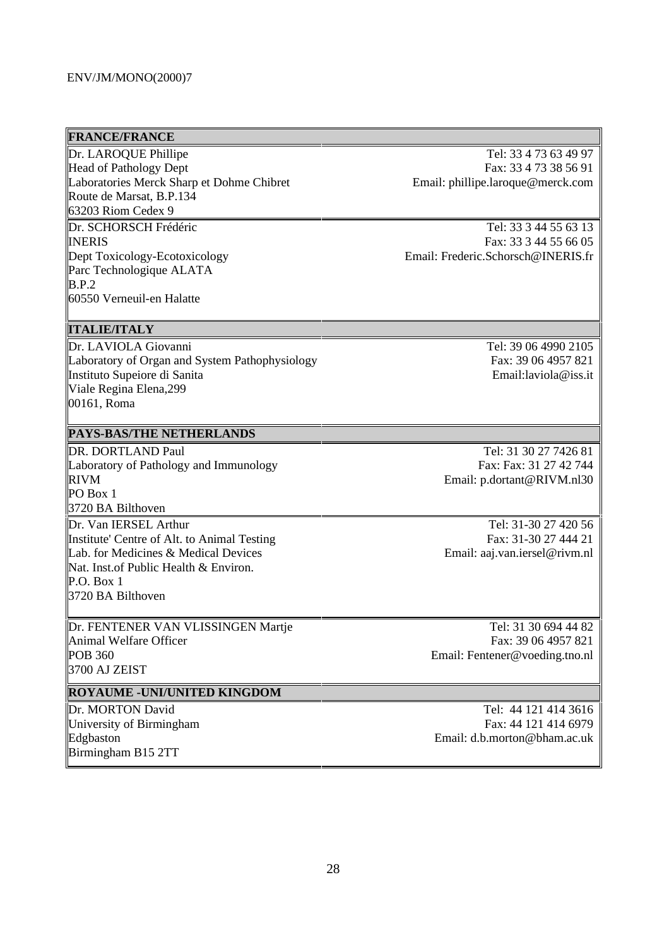## **FRANCE/FRANCE**

Dr. LAROQUE Phillipe Head of Pathology Dept Laboratories Merck Sharp et Dohme Chibret Route de Marsat, B.P.134 63203 Riom Cedex 9 Dr. SCHORSCH Frédéric **INERIS** 

Dept Toxicology-Ecotoxicology Parc Technologique ALATA B.P.2 60550 Verneuil-en Halatte

# **ITALIE/ITALY**

Dr. LAVIOLA Giovanni Laboratory of Organ and System Pathophysiology Instituto Supeiore di Sanita Viale Regina Elena,299 00161, Roma

#### **PAYS-BAS/THE NETHERLANDS**

DR. DORTLAND Paul Laboratory of Pathology and Immunology RIVM  $PO$  Box 1 3720 BA Bilthoven

Dr. Van IERSEL Arthur Institute' Centre of Alt. to Animal Testing Lab. for Medicines & Medical Devices Nat. Inst. of Public Health & Environ. P.O. Box 1 3720 BA Bilthoven

Dr. FENTENER VAN VLISSINGEN Martje Animal Welfare Officer **POB 360** 3700 AJ ZEIST

## **ROYAUME -UNI/UNITED KINGDOM**

Dr. MORTON David University of Birmingham Edgbaston Birmingham B15 2TT

Tel: 33 4 73 63 49 97 Fax: 33 4 73 38 56 91 Email: phillipe.laroque@merck.com

Tel: 33 3 44 55 63 13 Fax: 33 3 44 55 66 05 Email: Frederic.Schorsch@INERIS.fr

> Tel: 39 06 4990 2105 Fax: 39 06 4957 821 Email:laviola@iss.it

Tel: 31 30 27 7426 81 Fax: Fax: 31 27 42 744 Email: p.dortant@RIVM.nl30

Tel: 31-30 27 420 56 Fax: 31-30 27 444 21 Email: aaj.van.iersel@rivm.nl

Tel: 31 30 694 44 82 Fax: 39 06 4957 821 Email: Fentener@voeding.tno.nl

Tel: 44 121 414 3616 Fax: 44 121 414 6979 Email: d.b.morton@bham.ac.uk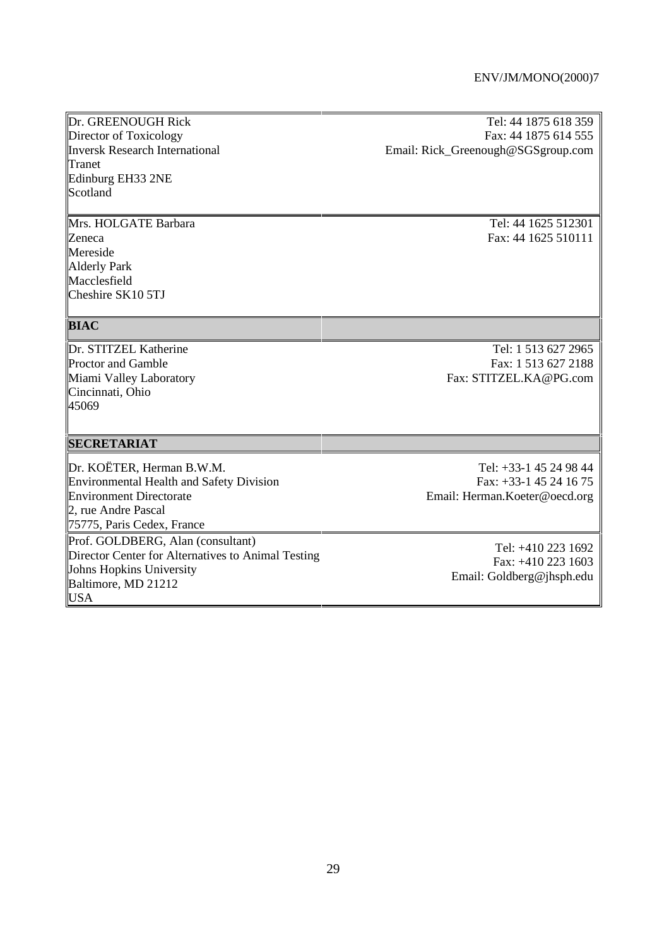Dr. GREENOUGH Rick Director of Toxicology Inversk Research International Tranet Edinburg EH33 2NE Scotland

Mrs. HOLGATE Barbara Zeneca Mereside Alderly Park Macclesfield Cheshire SK10 5TJ

# **BIAC**

Dr. STITZEL Katherine Proctor and Gamble Miami Valley Laboratory Cincinnati, Ohio 45069

# **SECRETARIAT**

Dr. KOËTER, Herman B.W.M. Environmental Health and Safety Division Environment Directorate 2, rue Andre Pascal 75775, Paris Cedex, France

Prof. GOLDBERG, Alan (consultant) Director Center for Alternatives to Animal Testing Johns Hopkins University Baltimore, MD 21212 USA

Tel: 44 1875 618 359 Fax: 44 1875 614 555 Email: Rick\_Greenough@SGSgroup.com

> Tel: 44 1625 512301 Fax: 44 1625 510111

Tel: 1 513 627 2965 Fax: 1 513 627 2188 Fax: STITZEL.KA@PG.com

Tel: +33-1 45 24 98 44 Fax: +33-1 45 24 16 75 Email: Herman.Koeter@oecd.org

> Tel: +410 223 1692 Fax: +410 223 1603 Email: Goldberg@jhsph.edu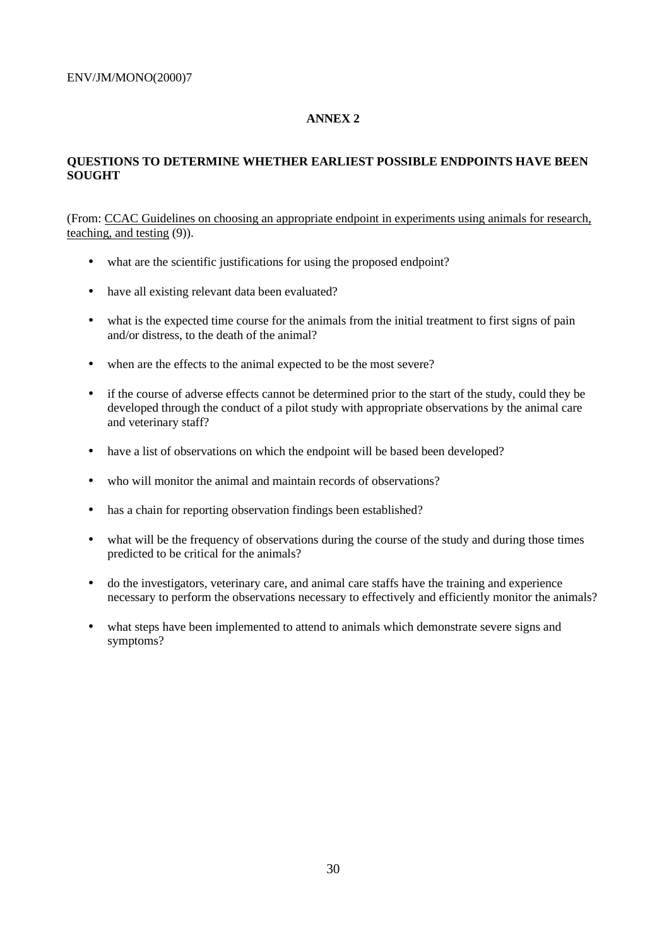# **ANNEX 2**

## **QUESTIONS TO DETERMINE WHETHER EARLIEST POSSIBLE ENDPOINTS HAVE BEEN SOUGHT**

(From: CCAC Guidelines on choosing an appropriate endpoint in experiments using animals for research, teaching, and testing (9)).

- what are the scientific justifications for using the proposed endpoint?
- have all existing relevant data been evaluated?
- what is the expected time course for the animals from the initial treatment to first signs of pain and/or distress, to the death of the animal?
- when are the effects to the animal expected to be the most severe?
- if the course of adverse effects cannot be determined prior to the start of the study, could they be developed through the conduct of a pilot study with appropriate observations by the animal care and veterinary staff?
- have a list of observations on which the endpoint will be based been developed?
- who will monitor the animal and maintain records of observations?
- has a chain for reporting observation findings been established?
- what will be the frequency of observations during the course of the study and during those times predicted to be critical for the animals?
- do the investigators, veterinary care, and animal care staffs have the training and experience necessary to perform the observations necessary to effectively and efficiently monitor the animals?
- what steps have been implemented to attend to animals which demonstrate severe signs and symptoms?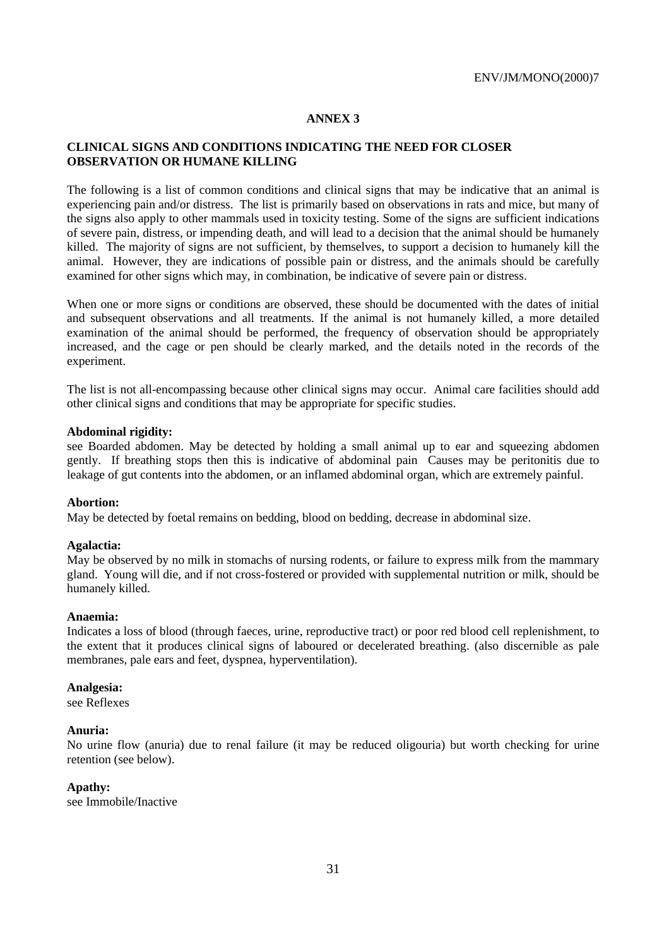## **ANNEX 3**

## **CLINICAL SIGNS AND CONDITIONS INDICATING THE NEED FOR CLOSER OBSERVATION OR HUMANE KILLING**

The following is a list of common conditions and clinical signs that may be indicative that an animal is experiencing pain and/or distress. The list is primarily based on observations in rats and mice, but many of the signs also apply to other mammals used in toxicity testing. Some of the signs are sufficient indications of severe pain, distress, or impending death, and will lead to a decision that the animal should be humanely killed. The majority of signs are not sufficient, by themselves, to support a decision to humanely kill the animal. However, they are indications of possible pain or distress, and the animals should be carefully examined for other signs which may, in combination, be indicative of severe pain or distress.

When one or more signs or conditions are observed, these should be documented with the dates of initial and subsequent observations and all treatments. If the animal is not humanely killed, a more detailed examination of the animal should be performed, the frequency of observation should be appropriately increased, and the cage or pen should be clearly marked, and the details noted in the records of the experiment.

The list is not all-encompassing because other clinical signs may occur. Animal care facilities should add other clinical signs and conditions that may be appropriate for specific studies.

#### **Abdominal rigidity:**

see Boarded abdomen. May be detected by holding a small animal up to ear and squeezing abdomen gently. If breathing stops then this is indicative of abdominal pain Causes may be peritonitis due to leakage of gut contents into the abdomen, or an inflamed abdominal organ, which are extremely painful.

## **Abortion:**

May be detected by foetal remains on bedding, blood on bedding, decrease in abdominal size.

#### **Agalactia:**

May be observed by no milk in stomachs of nursing rodents, or failure to express milk from the mammary gland. Young will die, and if not cross-fostered or provided with supplemental nutrition or milk, should be humanely killed.

#### **Anaemia:**

Indicates a loss of blood (through faeces, urine, reproductive tract) or poor red blood cell replenishment, to the extent that it produces clinical signs of laboured or decelerated breathing. (also discernible as pale membranes, pale ears and feet, dyspnea, hyperventilation).

#### **Analgesia:**

see Reflexes

#### **Anuria:**

No urine flow (anuria) due to renal failure (it may be reduced oligouria) but worth checking for urine retention (see below).

#### **Apathy:**

see Immobile/Inactive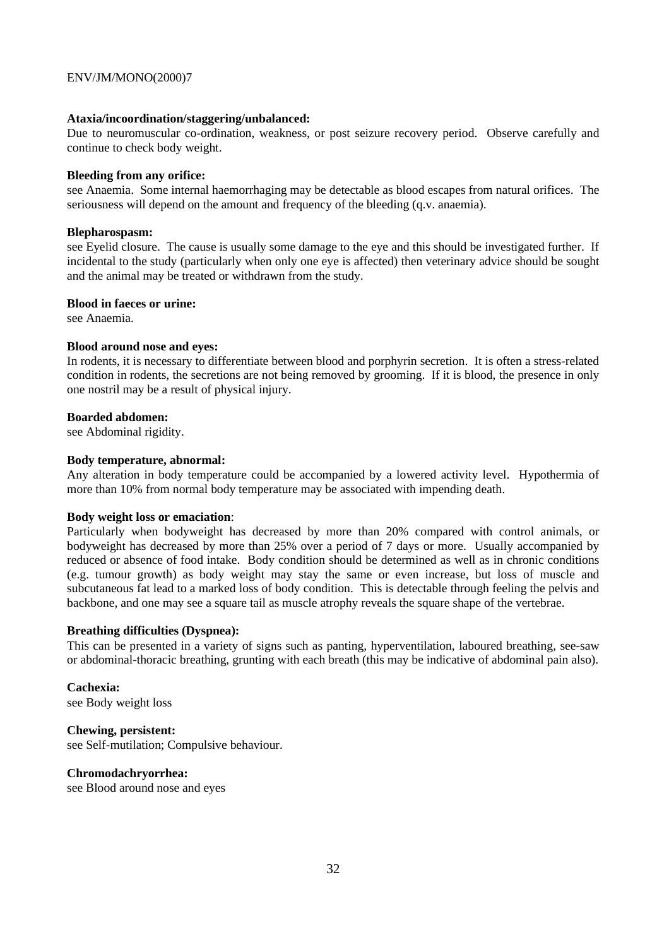### **Ataxia/incoordination/staggering/unbalanced:**

Due to neuromuscular co-ordination, weakness, or post seizure recovery period. Observe carefully and continue to check body weight.

#### **Bleeding from any orifice:**

see Anaemia. Some internal haemorrhaging may be detectable as blood escapes from natural orifices. The seriousness will depend on the amount and frequency of the bleeding (q.v. anaemia).

#### **Blepharospasm:**

see Eyelid closure. The cause is usually some damage to the eye and this should be investigated further. If incidental to the study (particularly when only one eye is affected) then veterinary advice should be sought and the animal may be treated or withdrawn from the study.

## **Blood in faeces or urine:**

see Anaemia.

#### **Blood around nose and eyes:**

In rodents, it is necessary to differentiate between blood and porphyrin secretion. It is often a stress-related condition in rodents, the secretions are not being removed by grooming. If it is blood, the presence in only one nostril may be a result of physical injury.

## **Boarded abdomen:**

see Abdominal rigidity.

#### **Body temperature, abnormal:**

Any alteration in body temperature could be accompanied by a lowered activity level. Hypothermia of more than 10% from normal body temperature may be associated with impending death.

#### **Body weight loss or emaciation**:

Particularly when bodyweight has decreased by more than 20% compared with control animals, or bodyweight has decreased by more than 25% over a period of 7 days or more. Usually accompanied by reduced or absence of food intake. Body condition should be determined as well as in chronic conditions (e.g. tumour growth) as body weight may stay the same or even increase, but loss of muscle and subcutaneous fat lead to a marked loss of body condition. This is detectable through feeling the pelvis and backbone, and one may see a square tail as muscle atrophy reveals the square shape of the vertebrae.

#### **Breathing difficulties (Dyspnea):**

This can be presented in a variety of signs such as panting, hyperventilation, laboured breathing, see-saw or abdominal-thoracic breathing, grunting with each breath (this may be indicative of abdominal pain also).

**Cachexia:** see Body weight loss

#### **Chewing, persistent:**

see Self-mutilation; Compulsive behaviour.

#### **Chromodachryorrhea:**

see Blood around nose and eyes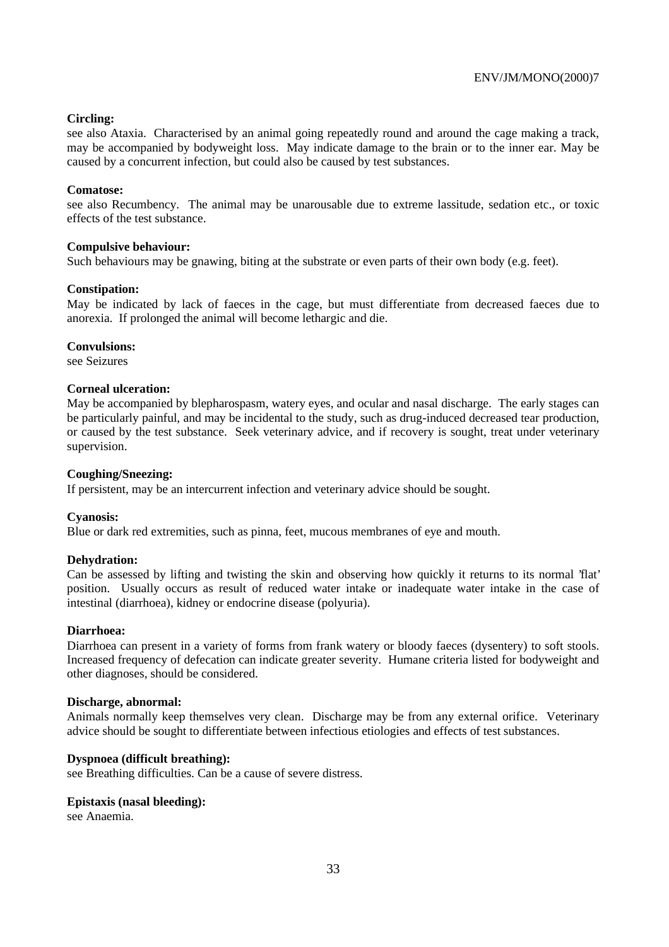### **Circling:**

see also Ataxia. Characterised by an animal going repeatedly round and around the cage making a track, may be accompanied by bodyweight loss. May indicate damage to the brain or to the inner ear. May be caused by a concurrent infection, but could also be caused by test substances.

## **Comatose:**

see also Recumbency. The animal may be unarousable due to extreme lassitude, sedation etc., or toxic effects of the test substance.

#### **Compulsive behaviour:**

Such behaviours may be gnawing, biting at the substrate or even parts of their own body (e.g. feet).

#### **Constipation:**

May be indicated by lack of faeces in the cage, but must differentiate from decreased faeces due to anorexia. If prolonged the animal will become lethargic and die.

#### **Convulsions:**

see Seizures

## **Corneal ulceration:**

May be accompanied by blepharospasm, watery eyes, and ocular and nasal discharge. The early stages can be particularly painful, and may be incidental to the study, such as drug-induced decreased tear production, or caused by the test substance. Seek veterinary advice, and if recovery is sought, treat under veterinary supervision.

#### **Coughing/Sneezing:**

If persistent, may be an intercurrent infection and veterinary advice should be sought.

#### **Cyanosis:**

Blue or dark red extremities, such as pinna, feet, mucous membranes of eye and mouth.

#### **Dehydration:**

Can be assessed by lifting and twisting the skin and observing how quickly it returns to its normal 'flat' position. Usually occurs as result of reduced water intake or inadequate water intake in the case of intestinal (diarrhoea), kidney or endocrine disease (polyuria).

#### **Diarrhoea:**

Diarrhoea can present in a variety of forms from frank watery or bloody faeces (dysentery) to soft stools. Increased frequency of defecation can indicate greater severity. Humane criteria listed for bodyweight and other diagnoses, should be considered.

#### **Discharge, abnormal:**

Animals normally keep themselves very clean. Discharge may be from any external orifice. Veterinary advice should be sought to differentiate between infectious etiologies and effects of test substances.

## **Dyspnoea (difficult breathing):**

see Breathing difficulties. Can be a cause of severe distress.

#### **Epistaxis (nasal bleeding):**

see Anaemia.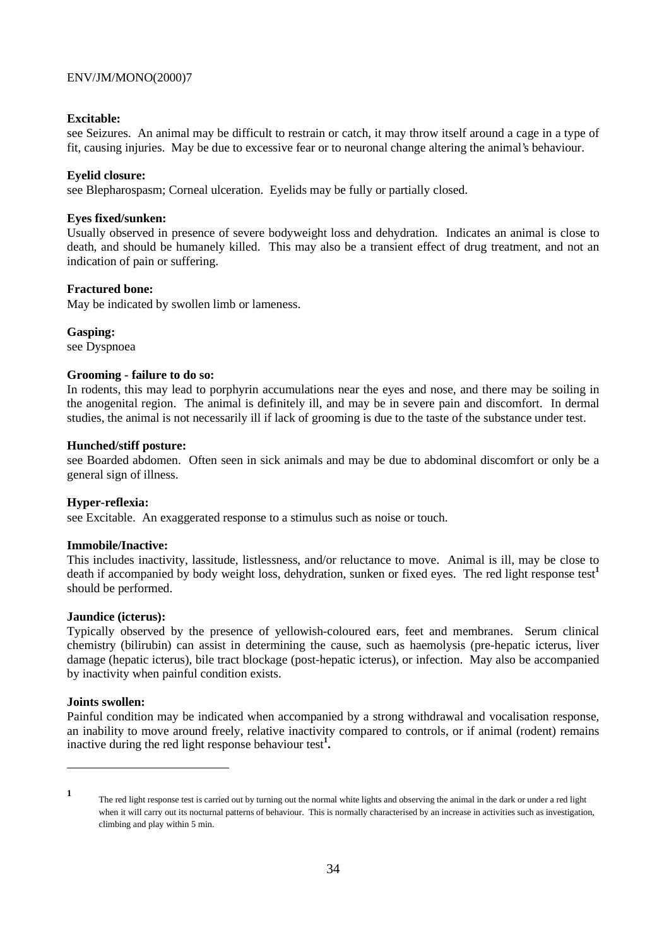## **Excitable:**

see Seizures. An animal may be difficult to restrain or catch, it may throw itself around a cage in a type of fit, causing injuries. May be due to excessive fear or to neuronal change altering the animal's behaviour.

#### **Eyelid closure:**

see Blepharospasm; Corneal ulceration. Eyelids may be fully or partially closed.

## **Eyes fixed/sunken:**

Usually observed in presence of severe bodyweight loss and dehydration. Indicates an animal is close to death, and should be humanely killed. This may also be a transient effect of drug treatment, and not an indication of pain or suffering.

## **Fractured bone:**

May be indicated by swollen limb or lameness.

## **Gasping:**

see Dyspnoea

## **Grooming - failure to do so:**

In rodents, this may lead to porphyrin accumulations near the eyes and nose, and there may be soiling in the anogenital region. The animal is definitely ill, and may be in severe pain and discomfort. In dermal studies, the animal is not necessarily ill if lack of grooming is due to the taste of the substance under test.

## **Hunched/stiff posture:**

see Boarded abdomen. Often seen in sick animals and may be due to abdominal discomfort or only be a general sign of illness.

## **Hyper-reflexia:**

see Excitable. An exaggerated response to a stimulus such as noise or touch.

#### **Immobile/Inactive:**

This includes inactivity, lassitude, listlessness, and/or reluctance to move. Animal is ill, may be close to death if accompanied by body weight loss, dehydration, sunken or fixed eyes. The red light response test**<sup>1</sup>** should be performed.

#### **Jaundice (icterus):**

Typically observed by the presence of yellowish-coloured ears, feet and membranes. Serum clinical chemistry (bilirubin) can assist in determining the cause, such as haemolysis (pre-hepatic icterus, liver damage (hepatic icterus), bile tract blockage (post-hepatic icterus), or infection. May also be accompanied by inactivity when painful condition exists.

#### **Joints swollen:**

<u>.</u>

Painful condition may be indicated when accompanied by a strong withdrawal and vocalisation response, an inability to move around freely, relative inactivity compared to controls, or if animal (rodent) remains inactive during the red light response behaviour test**<sup>1</sup> .**

**<sup>1</sup>** The red light response test is carried out by turning out the normal white lights and observing the animal in the dark or under a red light when it will carry out its nocturnal patterns of behaviour. This is normally characterised by an increase in activities such as investigation, climbing and play within 5 min.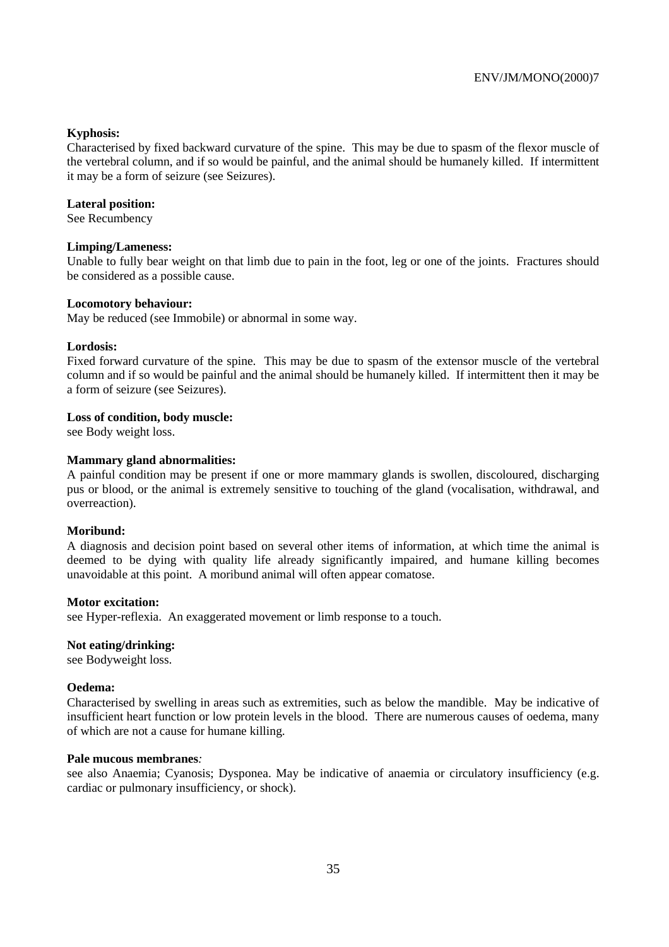## **Kyphosis:**

Characterised by fixed backward curvature of the spine. This may be due to spasm of the flexor muscle of the vertebral column, and if so would be painful, and the animal should be humanely killed. If intermittent it may be a form of seizure (see Seizures).

#### **Lateral position:**

See Recumbency

#### **Limping/Lameness:**

Unable to fully bear weight on that limb due to pain in the foot, leg or one of the joints. Fractures should be considered as a possible cause.

#### **Locomotory behaviour:**

May be reduced (see Immobile) or abnormal in some way.

#### **Lordosis:**

Fixed forward curvature of the spine. This may be due to spasm of the extensor muscle of the vertebral column and if so would be painful and the animal should be humanely killed. If intermittent then it may be a form of seizure (see Seizures).

#### **Loss of condition, body muscle:**

see Body weight loss.

## **Mammary gland abnormalities:**

A painful condition may be present if one or more mammary glands is swollen, discoloured, discharging pus or blood, or the animal is extremely sensitive to touching of the gland (vocalisation, withdrawal, and overreaction).

#### **Moribund:**

A diagnosis and decision point based on several other items of information, at which time the animal is deemed to be dying with quality life already significantly impaired, and humane killing becomes unavoidable at this point. A moribund animal will often appear comatose.

#### **Motor excitation:**

see Hyper-reflexia. An exaggerated movement or limb response to a touch.

#### **Not eating/drinking:**

see Bodyweight loss.

#### **Oedema:**

Characterised by swelling in areas such as extremities, such as below the mandible. May be indicative of insufficient heart function or low protein levels in the blood. There are numerous causes of oedema, many of which are not a cause for humane killing.

## **Pale mucous membranes***:*

see also Anaemia; Cyanosis; Dysponea. May be indicative of anaemia or circulatory insufficiency (e.g. cardiac or pulmonary insufficiency, or shock).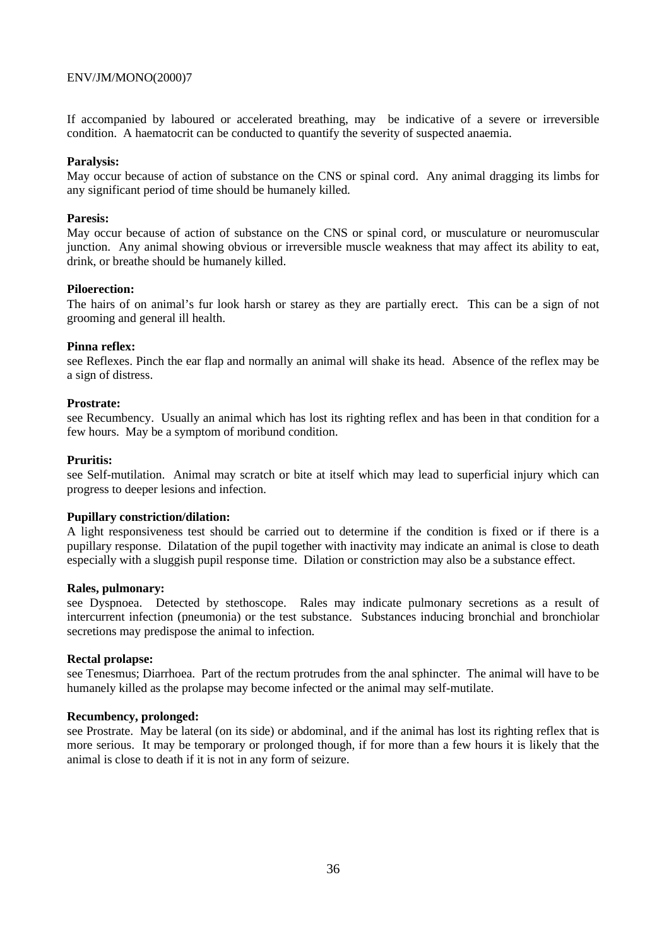If accompanied by laboured or accelerated breathing, may be indicative of a severe or irreversible condition. A haematocrit can be conducted to quantify the severity of suspected anaemia.

#### **Paralysis:**

May occur because of action of substance on the CNS or spinal cord. Any animal dragging its limbs for any significant period of time should be humanely killed.

#### **Paresis:**

May occur because of action of substance on the CNS or spinal cord, or musculature or neuromuscular junction. Any animal showing obvious or irreversible muscle weakness that may affect its ability to eat, drink, or breathe should be humanely killed.

## **Piloerection:**

The hairs of on animal's fur look harsh or starey as they are partially erect. This can be a sign of not grooming and general ill health.

## **Pinna reflex:**

see Reflexes. Pinch the ear flap and normally an animal will shake its head. Absence of the reflex may be a sign of distress.

#### **Prostrate:**

see Recumbency. Usually an animal which has lost its righting reflex and has been in that condition for a few hours. May be a symptom of moribund condition.

#### **Pruritis:**

see Self-mutilation. Animal may scratch or bite at itself which may lead to superficial injury which can progress to deeper lesions and infection.

#### **Pupillary constriction/dilation:**

A light responsiveness test should be carried out to determine if the condition is fixed or if there is a pupillary response. Dilatation of the pupil together with inactivity may indicate an animal is close to death especially with a sluggish pupil response time. Dilation or constriction may also be a substance effect.

#### **Rales, pulmonary:**

see Dyspnoea. Detected by stethoscope. Rales may indicate pulmonary secretions as a result of intercurrent infection (pneumonia) or the test substance. Substances inducing bronchial and bronchiolar secretions may predispose the animal to infection.

#### **Rectal prolapse:**

see Tenesmus; Diarrhoea. Part of the rectum protrudes from the anal sphincter. The animal will have to be humanely killed as the prolapse may become infected or the animal may self-mutilate.

#### **Recumbency, prolonged:**

see Prostrate. May be lateral (on its side) or abdominal, and if the animal has lost its righting reflex that is more serious. It may be temporary or prolonged though, if for more than a few hours it is likely that the animal is close to death if it is not in any form of seizure.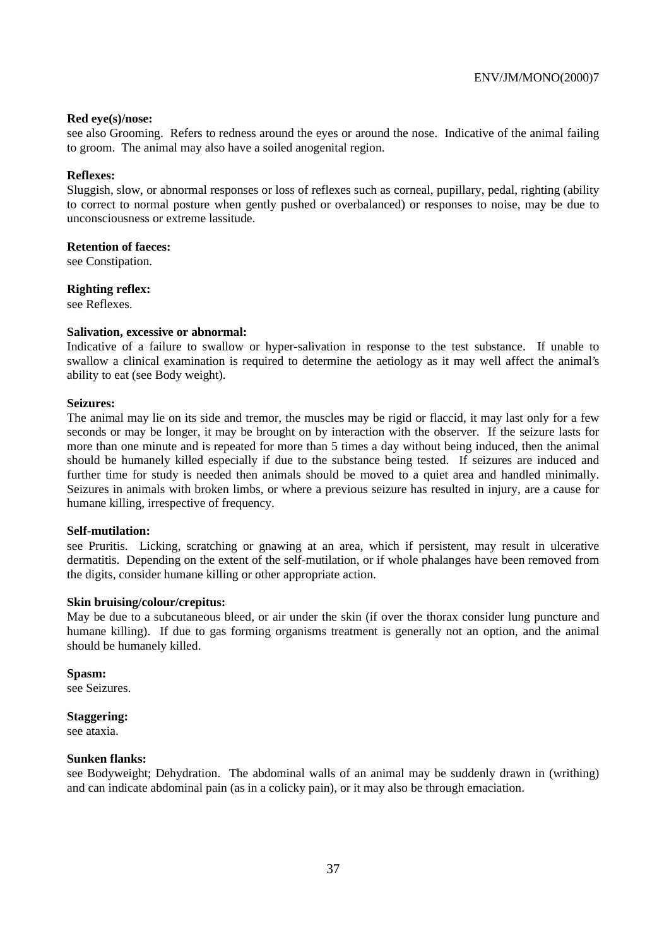#### **Red eye(s)/nose:**

see also Grooming. Refers to redness around the eyes or around the nose. Indicative of the animal failing to groom. The animal may also have a soiled anogenital region.

#### **Reflexes:**

Sluggish, slow, or abnormal responses or loss of reflexes such as corneal, pupillary, pedal, righting (ability to correct to normal posture when gently pushed or overbalanced) or responses to noise, may be due to unconsciousness or extreme lassitude.

#### **Retention of faeces:**

see Constipation.

#### **Righting reflex:**

see Reflexes.

#### **Salivation, excessive or abnormal:**

Indicative of a failure to swallow or hyper-salivation in response to the test substance. If unable to swallow a clinical examination is required to determine the aetiology as it may well affect the animal's ability to eat (see Body weight).

#### **Seizures:**

The animal may lie on its side and tremor, the muscles may be rigid or flaccid, it may last only for a few seconds or may be longer, it may be brought on by interaction with the observer. If the seizure lasts for more than one minute and is repeated for more than 5 times a day without being induced, then the animal should be humanely killed especially if due to the substance being tested. If seizures are induced and further time for study is needed then animals should be moved to a quiet area and handled minimally. Seizures in animals with broken limbs, or where a previous seizure has resulted in injury, are a cause for humane killing, irrespective of frequency.

#### **Self-mutilation:**

see Pruritis. Licking, scratching or gnawing at an area, which if persistent, may result in ulcerative dermatitis. Depending on the extent of the self-mutilation, or if whole phalanges have been removed from the digits, consider humane killing or other appropriate action.

#### **Skin bruising/colour/crepitus:**

May be due to a subcutaneous bleed, or air under the skin (if over the thorax consider lung puncture and humane killing). If due to gas forming organisms treatment is generally not an option, and the animal should be humanely killed.

**Spasm:** see Seizures.

#### **Staggering:**

see ataxia.

#### **Sunken flanks:**

see Bodyweight; Dehydration. The abdominal walls of an animal may be suddenly drawn in (writhing) and can indicate abdominal pain (as in a colicky pain), or it may also be through emaciation.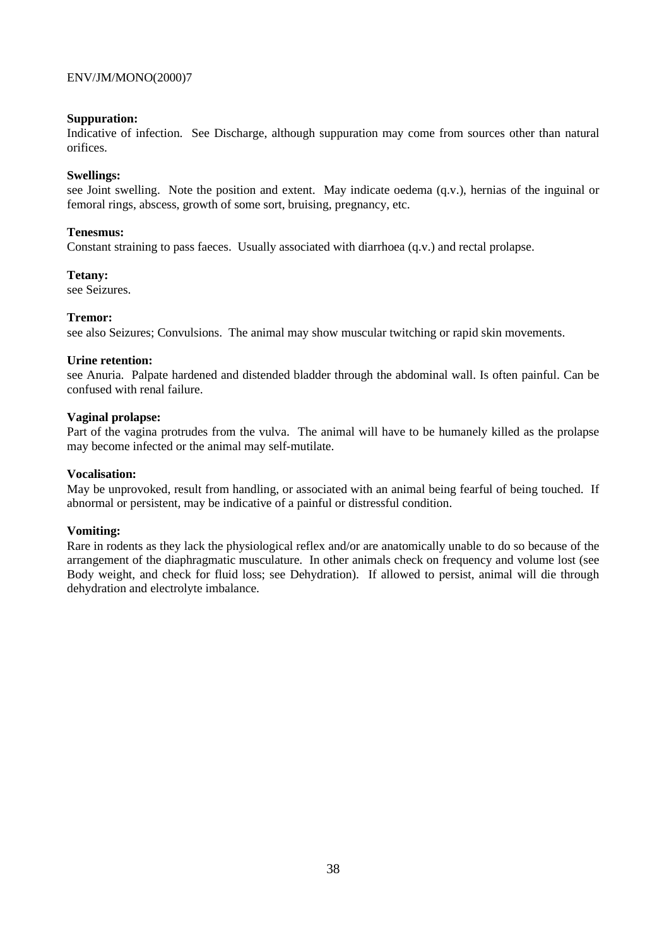### **Suppuration:**

Indicative of infection. See Discharge, although suppuration may come from sources other than natural orifices.

#### **Swellings:**

see Joint swelling. Note the position and extent. May indicate oedema (q.v.), hernias of the inguinal or femoral rings, abscess, growth of some sort, bruising, pregnancy, etc.

#### **Tenesmus:**

Constant straining to pass faeces. Usually associated with diarrhoea (q.v.) and rectal prolapse.

## **Tetany:**

see Seizures.

## **Tremor:**

see also Seizures; Convulsions. The animal may show muscular twitching or rapid skin movements.

## **Urine retention:**

see Anuria. Palpate hardened and distended bladder through the abdominal wall. Is often painful. Can be confused with renal failure.

## **Vaginal prolapse:**

Part of the vagina protrudes from the vulva. The animal will have to be humanely killed as the prolapse may become infected or the animal may self-mutilate.

## **Vocalisation:**

May be unprovoked, result from handling, or associated with an animal being fearful of being touched. If abnormal or persistent, may be indicative of a painful or distressful condition.

## **Vomiting:**

Rare in rodents as they lack the physiological reflex and/or are anatomically unable to do so because of the arrangement of the diaphragmatic musculature. In other animals check on frequency and volume lost (see Body weight, and check for fluid loss; see Dehydration). If allowed to persist, animal will die through dehydration and electrolyte imbalance.